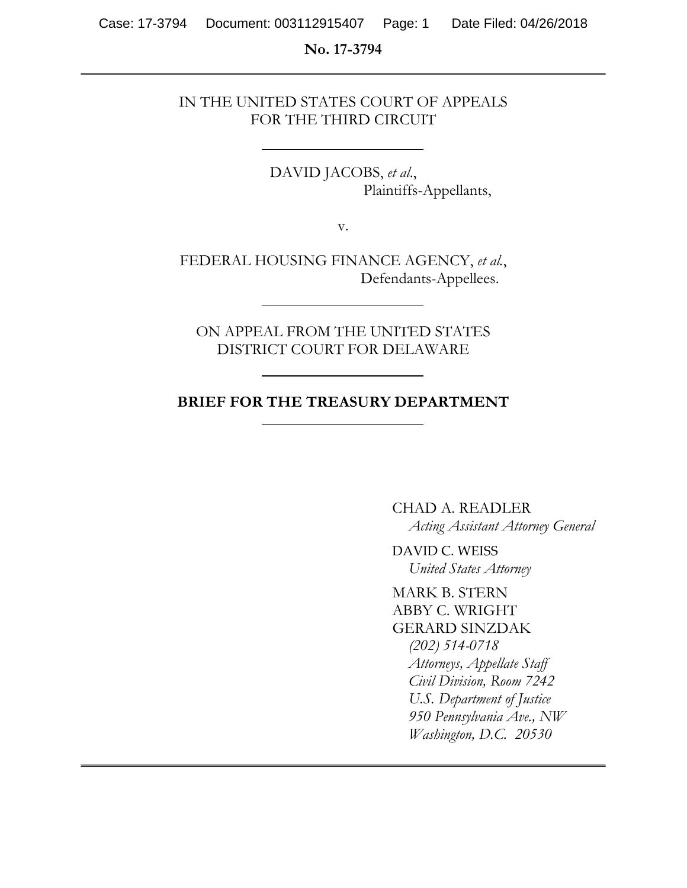#### **No. 17-3794**

## IN THE UNITED STATES COURT OF APPEALS FOR THE THIRD CIRCUIT

DAVID JACOBS, *et al*., Plaintiffs-Appellants,

v.

FEDERAL HOUSING FINANCE AGENCY, *et al.*, Defendants-Appellees.

ON APPEAL FROM THE UNITED STATES DISTRICT COURT FOR DELAWARE

### **BRIEF FOR THE TREASURY DEPARTMENT**

CHAD A. READLER *Acting Assistant Attorney General* 

DAVID C. WEISS *United States Attorney* 

MARK B. STERN ABBY C. WRIGHT GERARD SINZDAK *(202) 514-0718 Attorneys, Appellate Staff Civil Division, Room 7242 U.S. Department of Justice 950 Pennsylvania Ave., NW Washington, D.C. 20530*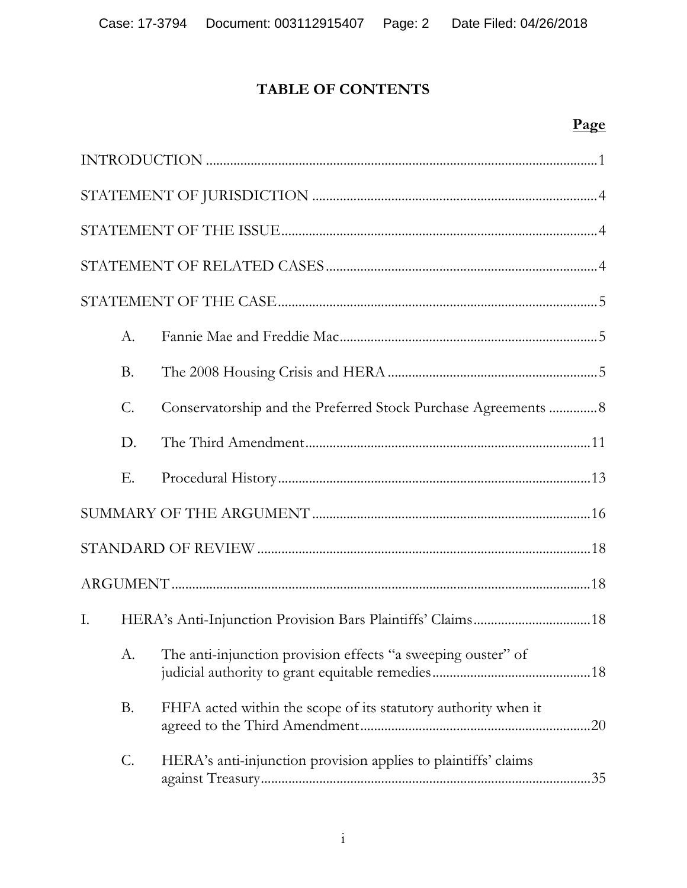# **TABLE OF CONTENTS**

# **Page**

|    | $A_{\cdot}$     |                                                                |
|----|-----------------|----------------------------------------------------------------|
|    | <b>B.</b>       |                                                                |
|    | $\mathcal{C}$ . | Conservatorship and the Preferred Stock Purchase Agreements  8 |
|    | D.              |                                                                |
|    | Е.              |                                                                |
|    |                 |                                                                |
|    |                 |                                                                |
|    |                 |                                                                |
| Ι. |                 | HERA's Anti-Injunction Provision Bars Plaintiffs' Claims 18    |
|    | A.              | The anti-injunction provision effects "a sweeping ouster" of   |
|    | <b>B.</b>       | FHFA acted within the scope of its statutory authority when it |
|    | C.              | HERA's anti-injunction provision applies to plaintiffs' claims |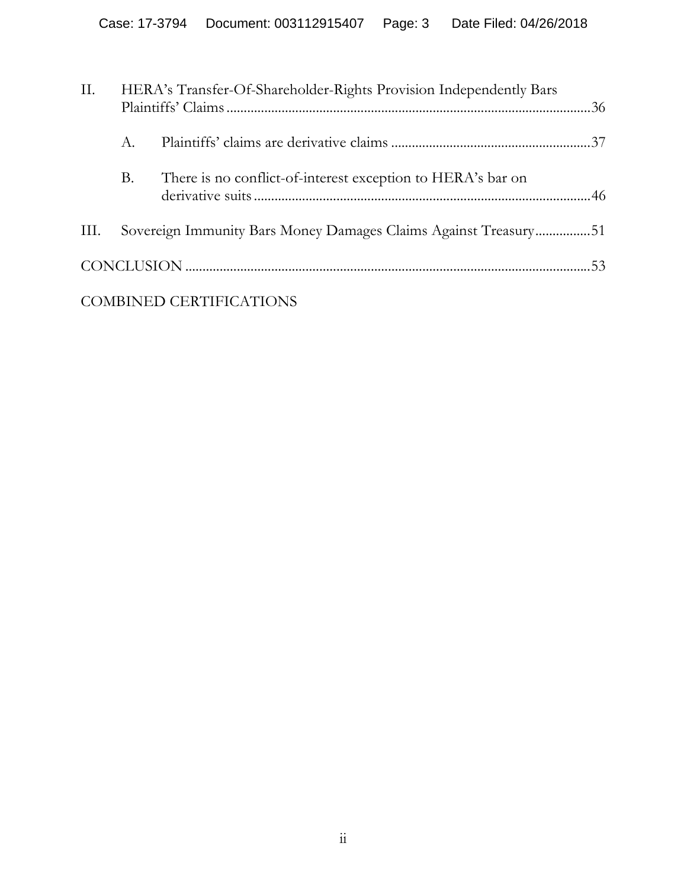| II.  |             | HERA's Transfer-Of-Shareholder-Rights Provision Independently Bars |  |
|------|-------------|--------------------------------------------------------------------|--|
|      | $A_{\cdot}$ |                                                                    |  |
|      | В.          | There is no conflict-of-interest exception to HERA's bar on        |  |
| III. |             | Sovereign Immunity Bars Money Damages Claims Against Treasury51    |  |
|      |             |                                                                    |  |
|      |             | <b>COMBINED CERTIFICATIONS</b>                                     |  |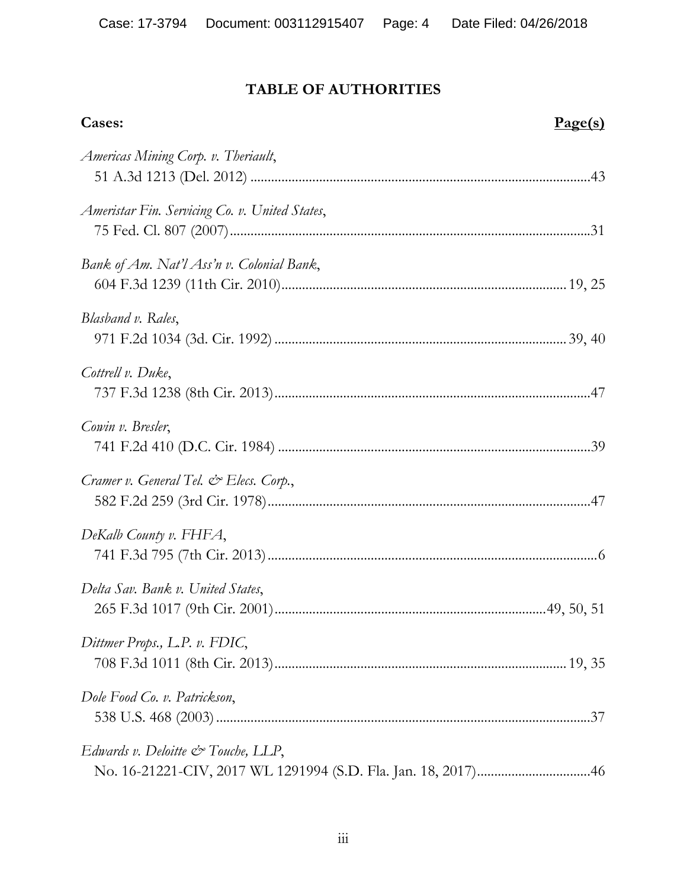# **TABLE OF AUTHORITIES**

| Cases:                                         | Page(s)    |
|------------------------------------------------|------------|
| Americas Mining Corp. v. Theriault,            |            |
| Ameristar Fin. Servicing Co. v. United States, |            |
| Bank of Am. Nat'l Ass'n v. Colonial Bank,      |            |
| Blasband v. Rales,                             |            |
| Cottrell v. Duke,                              |            |
| Cowin v. Bresler,                              |            |
| Cramer v. General Tel. & Elecs. Corp.,         |            |
| DeKalb County v. FHFA,                         |            |
| Delta Sav. Bank v. United States,              | 49, 50, 51 |
| Dittmer Props., L.P. v. FDIC,                  |            |
| Dole Food Co. v. Patrickson,                   |            |
| Edwards v. Deloitte $\mathcal O$ Touche, LLP,  |            |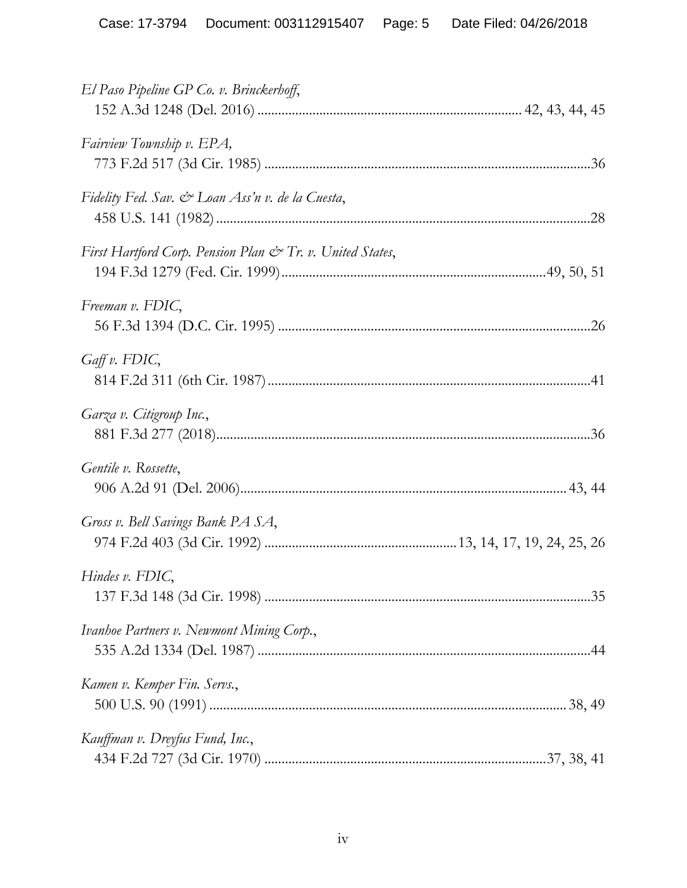| El Paso Pipeline GP Co. v. Brinckerhoff,                  |
|-----------------------------------------------------------|
| Fairview Township v. EPA,                                 |
| Fidelity Fed. Sav. & Loan Ass'n v. de la Cuesta,          |
| First Hartford Corp. Pension Plan & Tr. v. United States, |
| Freeman v. FDIC,                                          |
| $G$ aff v. FDIC,                                          |
| Garza v. Citigroup Inc.,                                  |
| Gentile v. Rossette,                                      |
| Gross v. Bell Savings Bank PA SA,                         |
| Hindes v. FDIC,                                           |
| Ivanhoe Partners v. Newmont Mining Corp.,                 |
| Kamen v. Kemper Fin. Servs.,                              |
| Kauffman v. Dreyfus Fund, Inc.,                           |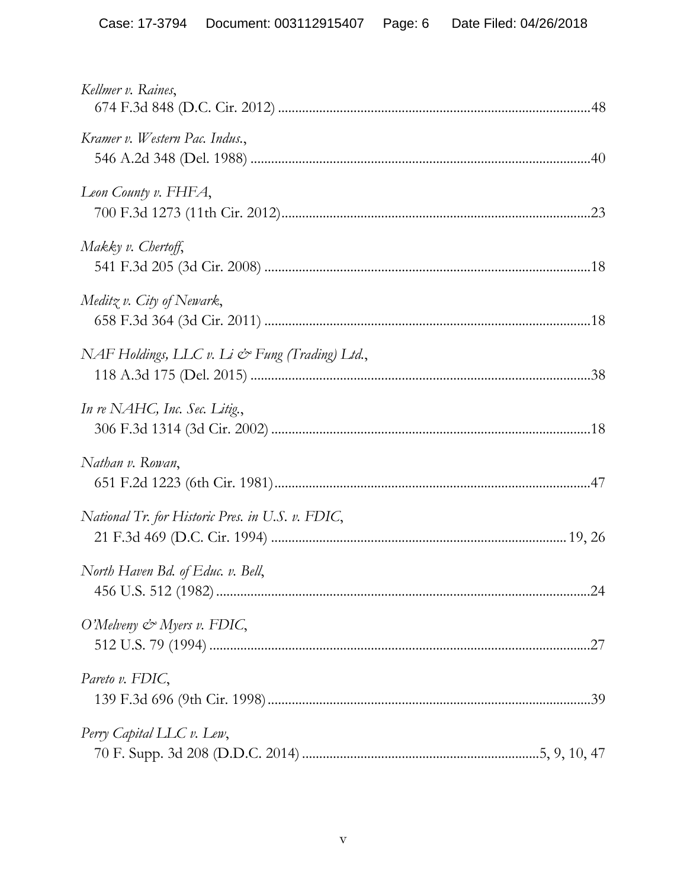| Kellmer v. Raines,                               |
|--------------------------------------------------|
| Kramer v. Western Pac. Indus.,                   |
| Leon County v. FHFA,                             |
| Makky v. Chertoff,                               |
| Meditz v. City of Newark,                        |
| NAF Holdings, LLC v. Li & Fung (Trading) Ltd.,   |
| In re NAHC, Inc. Sec. Litig.,                    |
| Nathan v. Rowan,                                 |
| National Tr. for Historic Pres. in U.S. v. FDIC, |
| North Haven Bd. of Educ. v. Bell,                |
| O'Melveny $\mathcal O$ 'Myers v. FDIC,           |
| Pareto v. FDIC,                                  |
| Perry Capital LLC v. Lew,                        |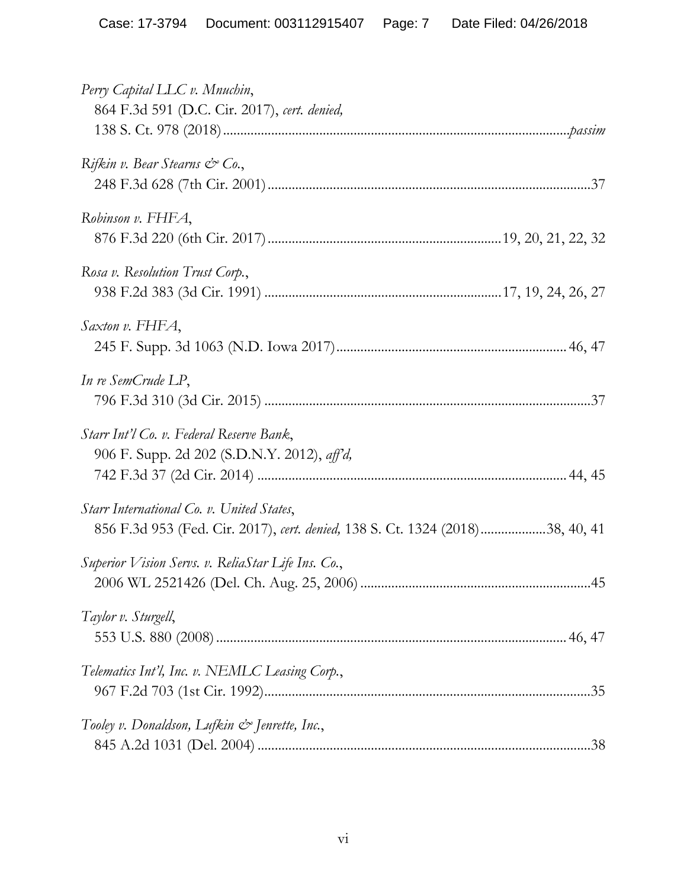| Perry Capital LLC v. Mnuchin,<br>864 F.3d 591 (D.C. Cir. 2017), cert. denied,                                              |
|----------------------------------------------------------------------------------------------------------------------------|
| Rifkin v. Bear Stearns $\mathcal{C}^{\infty}$ Co.,                                                                         |
| Robinson v. FHFA,                                                                                                          |
| Rosa v. Resolution Trust Corp.,                                                                                            |
| Saxton v. FHFA,                                                                                                            |
| In re SemCrude LP,                                                                                                         |
| Starr Int'l Co. v. Federal Reserve Bank,<br>906 F. Supp. 2d 202 (S.D.N.Y. 2012), aff'd,                                    |
| Starr International Co. v. United States,<br>856 F.3d 953 (Fed. Cir. 2017), cert. denied, 138 S. Ct. 1324 (2018)38, 40, 41 |
| Superior Vision Servs. v. ReliaStar Life Ins. Co.,                                                                         |
| Taylor v. Sturgell,                                                                                                        |
| Telematics Int'l, Inc. v. NEMLC Leasing Corp.,                                                                             |
| Tooley v. Donaldson, Lufkin & Jenrette, Inc.,                                                                              |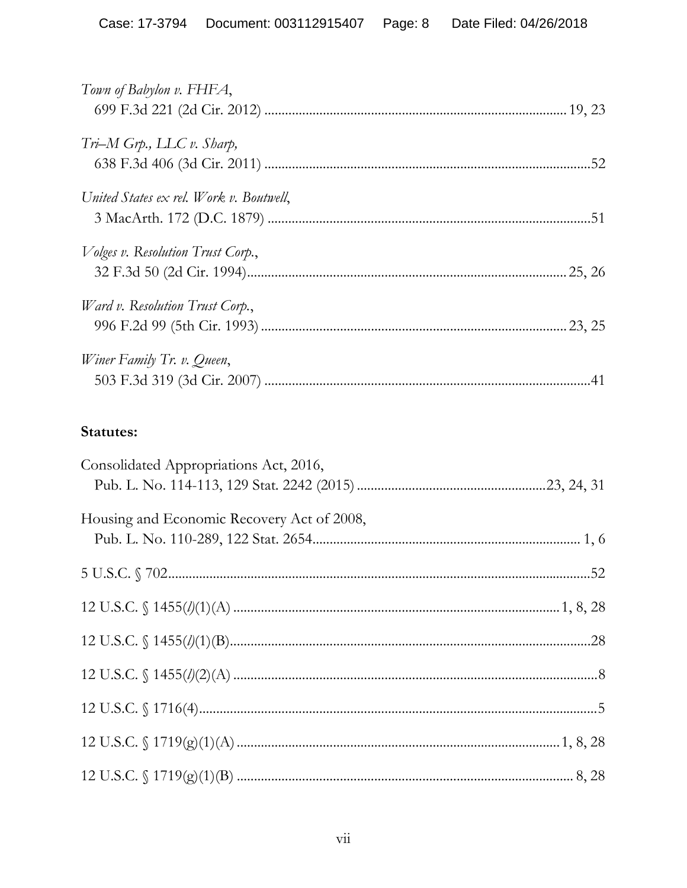| Town of Babylon v. FHFA,                  |     |
|-------------------------------------------|-----|
| $Tri-M G\eta, LLC v.$ Sharp,              |     |
| United States ex rel. Work v. Boutwell,   |     |
| <i>Volges v. Resolution Trust Corp.</i> , |     |
| Ward v. Resolution Trust Corp.,           |     |
| Winer Family Tr. v. Queen,                | .41 |

# Statutes:

| Consolidated Appropriations Act, 2016,                  |  |
|---------------------------------------------------------|--|
|                                                         |  |
| Housing and Economic Recovery Act of 2008,              |  |
|                                                         |  |
|                                                         |  |
|                                                         |  |
|                                                         |  |
|                                                         |  |
|                                                         |  |
| 12 U.S.C. $\frac{1719(g)(1)(A) \dots (1719(g))(1)}{28}$ |  |
|                                                         |  |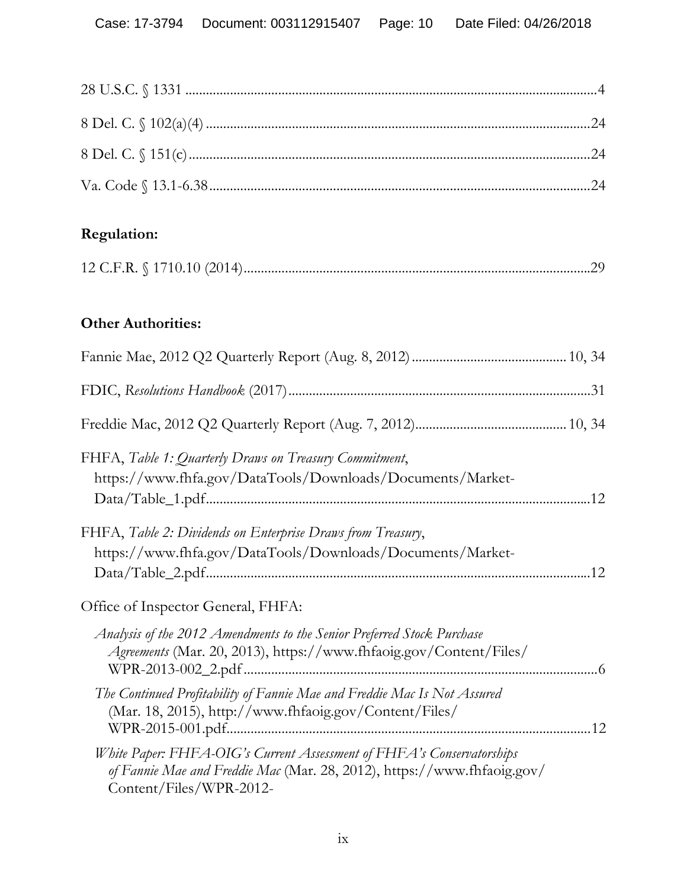# **Regulation:**

|--|--|

# **Other Authorities:**

| FHFA, Table 1: Quarterly Draws on Treasury Commitment,<br>https://www.fhfa.gov/DataTools/Downloads/Documents/Market-                                                        |
|-----------------------------------------------------------------------------------------------------------------------------------------------------------------------------|
| FHFA, Table 2: Dividends on Enterprise Draws from Treasury,<br>https://www.fhfa.gov/DataTools/Downloads/Documents/Market-                                                   |
| Office of Inspector General, FHFA:                                                                                                                                          |
| Analysis of the 2012 Amendments to the Senior Preferred Stock Purchase<br>Agreements (Mar. 20, 2013), https://www.fhfaoig.gov/Content/Files/                                |
| The Continued Profitability of Fannie Mae and Freddie Mac Is Not Assured<br>(Mar. 18, 2015), http://www.fhfaoig.gov/Content/Files/                                          |
| White Paper: FHFA-OIG's Current Assessment of FHFA's Conservatorships<br>of Fannie Mae and Freddie Mac (Mar. 28, 2012), https://www.fhfaoig.gov/<br>Content/Files/WPR-2012- |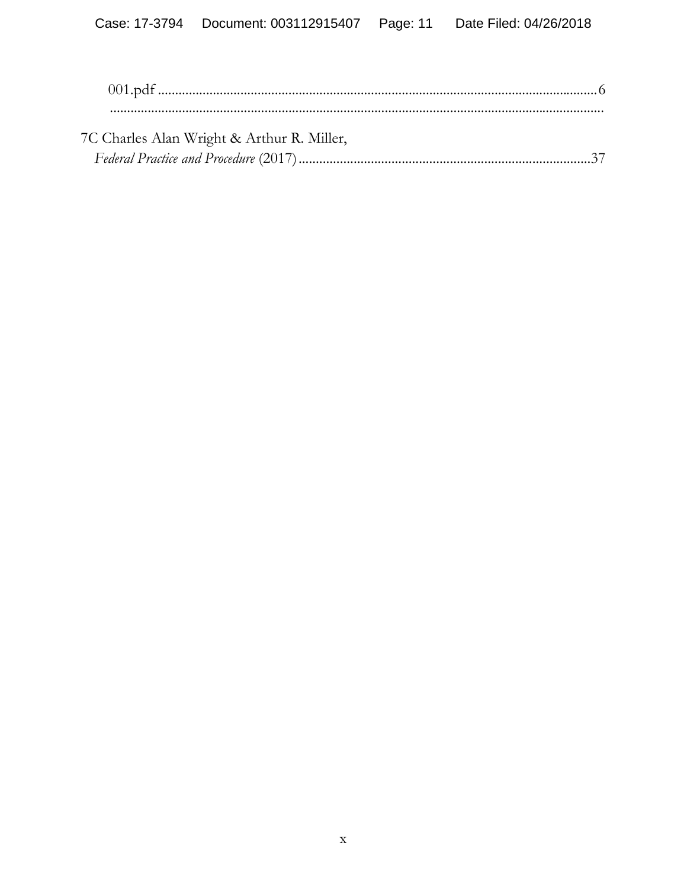| 7C Charles Alan Wright & Arthur R. Miller, |  |
|--------------------------------------------|--|
|                                            |  |
|                                            |  |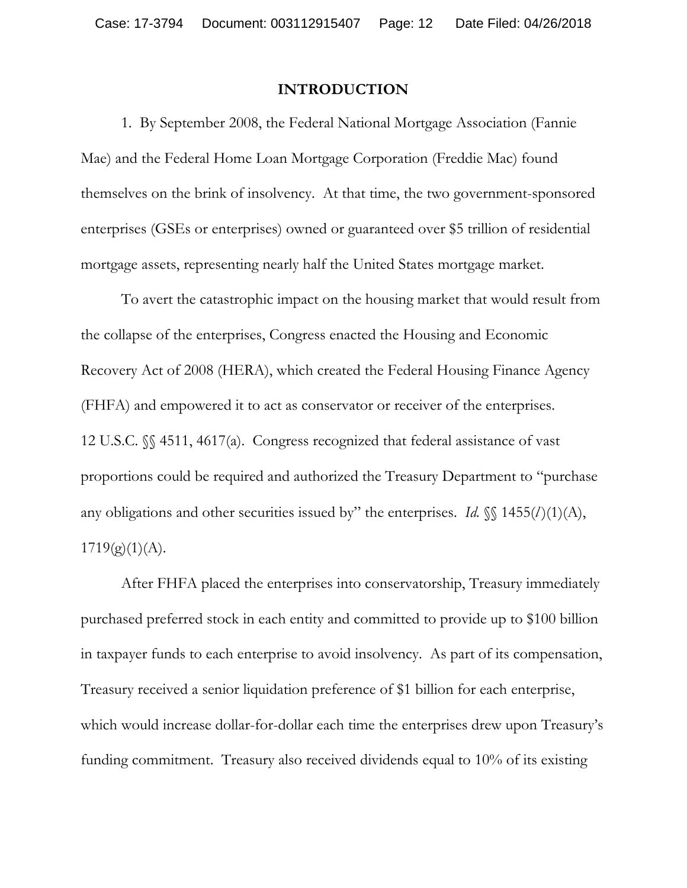#### **INTRODUCTION**

1. By September 2008, the Federal National Mortgage Association (Fannie Mae) and the Federal Home Loan Mortgage Corporation (Freddie Mac) found themselves on the brink of insolvency. At that time, the two government-sponsored enterprises (GSEs or enterprises) owned or guaranteed over \$5 trillion of residential mortgage assets, representing nearly half the United States mortgage market.

To avert the catastrophic impact on the housing market that would result from the collapse of the enterprises, Congress enacted the Housing and Economic Recovery Act of 2008 (HERA), which created the Federal Housing Finance Agency (FHFA) and empowered it to act as conservator or receiver of the enterprises. 12 U.S.C. §§ 4511, 4617(a). Congress recognized that federal assistance of vast proportions could be required and authorized the Treasury Department to "purchase any obligations and other securities issued by" the enterprises. *Id.*  $\{ \{ \} 1455(l)(1)(A), \}$  $1719(g)(1)(A)$ .

After FHFA placed the enterprises into conservatorship, Treasury immediately purchased preferred stock in each entity and committed to provide up to \$100 billion in taxpayer funds to each enterprise to avoid insolvency. As part of its compensation, Treasury received a senior liquidation preference of \$1 billion for each enterprise, which would increase dollar-for-dollar each time the enterprises drew upon Treasury's funding commitment. Treasury also received dividends equal to 10% of its existing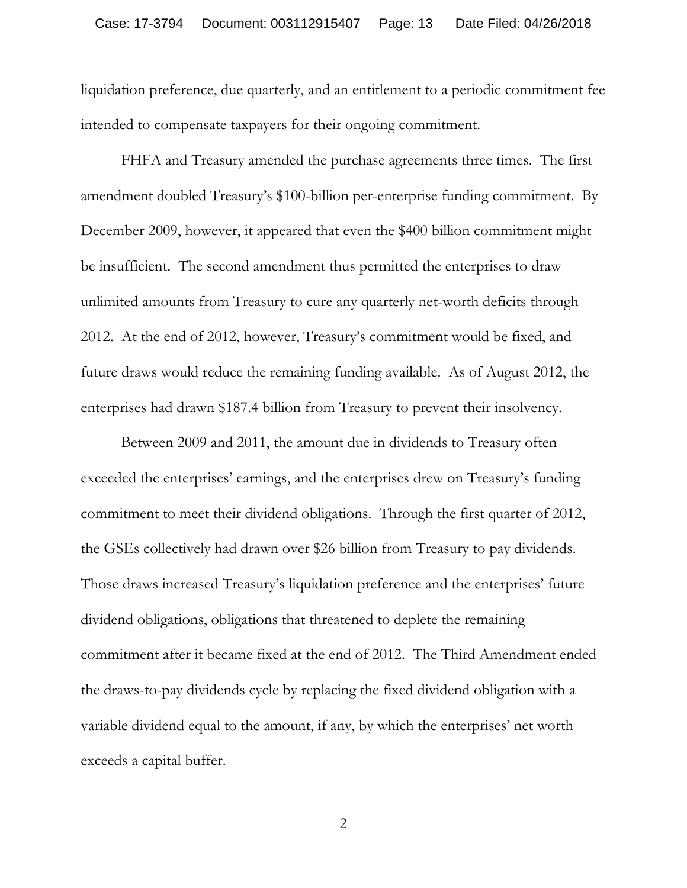liquidation preference, due quarterly, and an entitlement to a periodic commitment fee intended to compensate taxpayers for their ongoing commitment.

FHFA and Treasury amended the purchase agreements three times. The first amendment doubled Treasury's \$100-billion per-enterprise funding commitment. By December 2009, however, it appeared that even the \$400 billion commitment might be insufficient. The second amendment thus permitted the enterprises to draw unlimited amounts from Treasury to cure any quarterly net-worth deficits through 2012. At the end of 2012, however, Treasury's commitment would be fixed, and future draws would reduce the remaining funding available. As of August 2012, the enterprises had drawn \$187.4 billion from Treasury to prevent their insolvency.

Between 2009 and 2011, the amount due in dividends to Treasury often exceeded the enterprises' earnings, and the enterprises drew on Treasury's funding commitment to meet their dividend obligations. Through the first quarter of 2012, the GSEs collectively had drawn over \$26 billion from Treasury to pay dividends. Those draws increased Treasury's liquidation preference and the enterprises' future dividend obligations, obligations that threatened to deplete the remaining commitment after it became fixed at the end of 2012. The Third Amendment ended the draws-to-pay dividends cycle by replacing the fixed dividend obligation with a variable dividend equal to the amount, if any, by which the enterprises' net worth exceeds a capital buffer.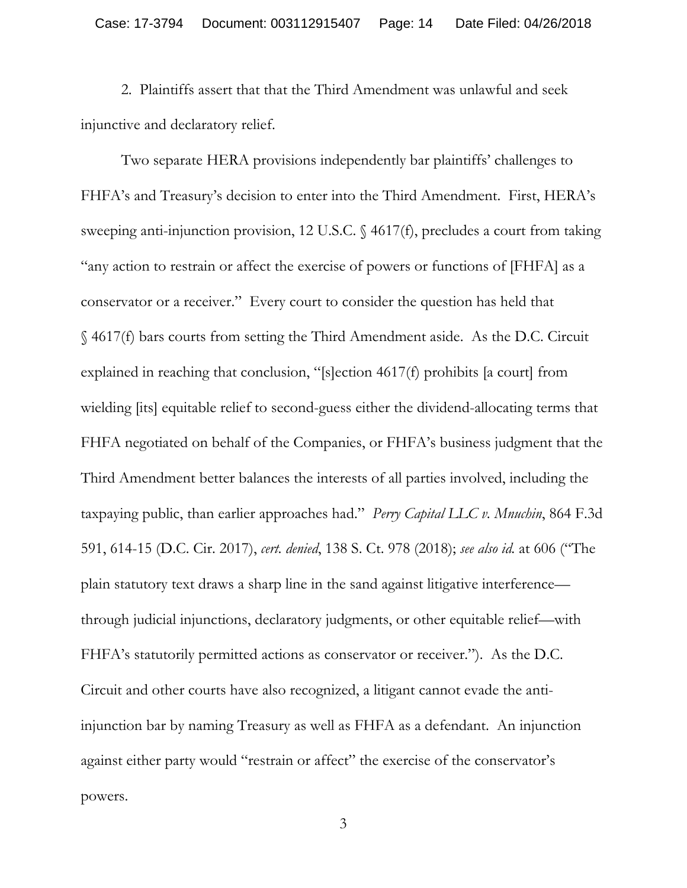2. Plaintiffs assert that that the Third Amendment was unlawful and seek injunctive and declaratory relief.

Two separate HERA provisions independently bar plaintiffs' challenges to FHFA's and Treasury's decision to enter into the Third Amendment. First, HERA's sweeping anti-injunction provision, 12 U.S.C. § 4617(f), precludes a court from taking "any action to restrain or affect the exercise of powers or functions of [FHFA] as a conservator or a receiver." Every court to consider the question has held that § 4617(f) bars courts from setting the Third Amendment aside. As the D.C. Circuit explained in reaching that conclusion, "[s]ection 4617(f) prohibits [a court] from wielding [its] equitable relief to second-guess either the dividend-allocating terms that FHFA negotiated on behalf of the Companies, or FHFA's business judgment that the Third Amendment better balances the interests of all parties involved, including the taxpaying public, than earlier approaches had." *Perry Capital LLC v. Mnuchin*, 864 F.3d 591, 614-15 (D.C. Cir. 2017), *cert. denied*, 138 S. Ct. 978 (2018); *see also id.* at 606 ("The plain statutory text draws a sharp line in the sand against litigative interference through judicial injunctions, declaratory judgments, or other equitable relief—with FHFA's statutorily permitted actions as conservator or receiver."). As the D.C. Circuit and other courts have also recognized, a litigant cannot evade the antiinjunction bar by naming Treasury as well as FHFA as a defendant. An injunction against either party would "restrain or affect" the exercise of the conservator's powers.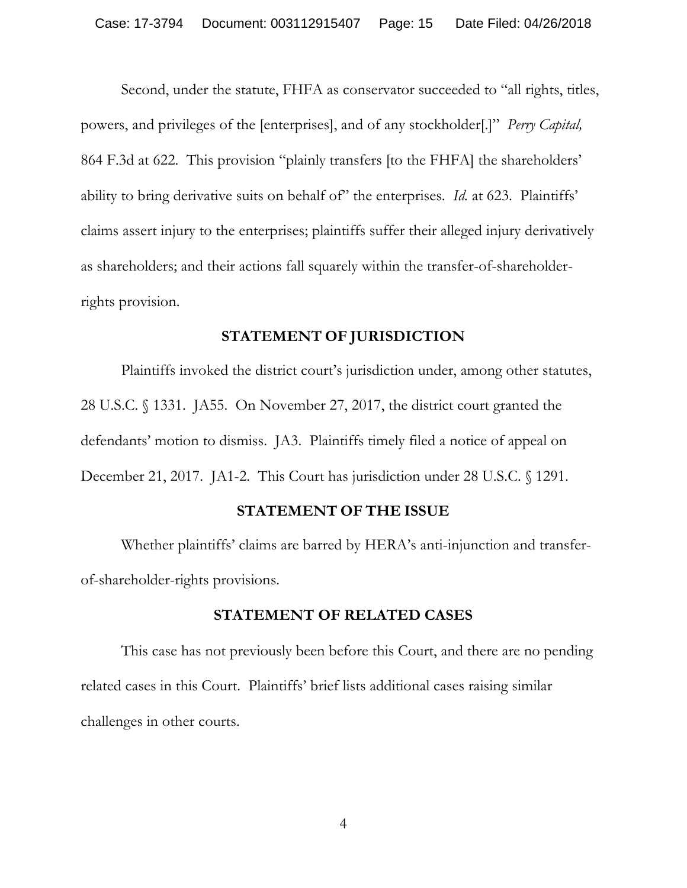Second, under the statute, FHFA as conservator succeeded to "all rights, titles, powers, and privileges of the [enterprises], and of any stockholder[.]" *Perry Capital,*  864 F.3d at 622. This provision "plainly transfers [to the FHFA] the shareholders' ability to bring derivative suits on behalf of" the enterprises. *Id.* at 623. Plaintiffs' claims assert injury to the enterprises; plaintiffs suffer their alleged injury derivatively as shareholders; and their actions fall squarely within the transfer-of-shareholderrights provision.

### **STATEMENT OF JURISDICTION**

Plaintiffs invoked the district court's jurisdiction under, among other statutes, 28 U.S.C. § 1331. JA55. On November 27, 2017, the district court granted the defendants' motion to dismiss. JA3. Plaintiffs timely filed a notice of appeal on December 21, 2017. JA1-2. This Court has jurisdiction under 28 U.S.C. § 1291.

#### **STATEMENT OF THE ISSUE**

Whether plaintiffs' claims are barred by HERA's anti-injunction and transferof-shareholder-rights provisions.

### **STATEMENT OF RELATED CASES**

This case has not previously been before this Court, and there are no pending related cases in this Court. Plaintiffs' brief lists additional cases raising similar challenges in other courts.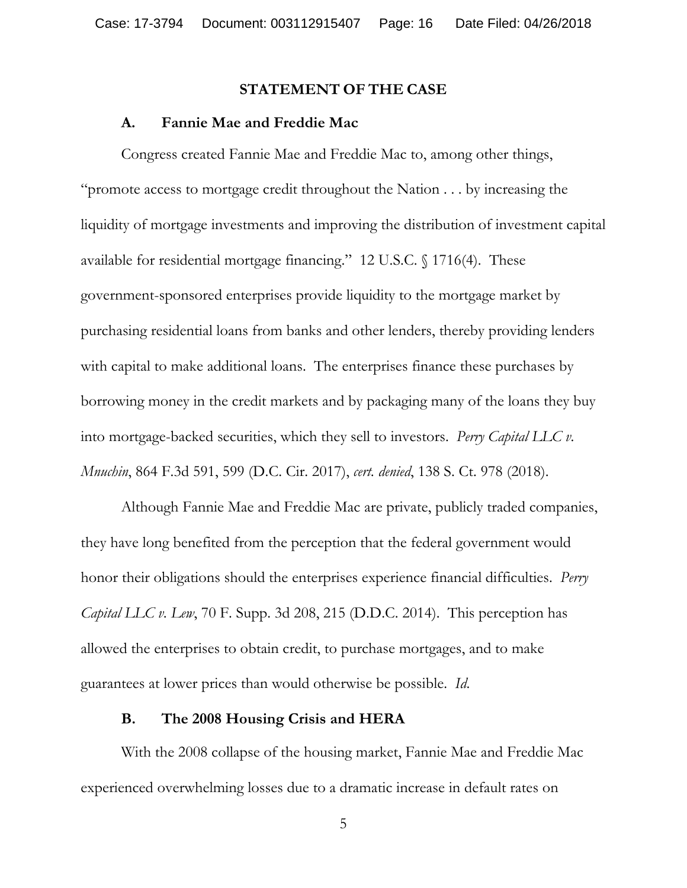#### **STATEMENT OF THE CASE**

#### **A. Fannie Mae and Freddie Mac**

Congress created Fannie Mae and Freddie Mac to, among other things, "promote access to mortgage credit throughout the Nation . . . by increasing the liquidity of mortgage investments and improving the distribution of investment capital available for residential mortgage financing." 12 U.S.C. § 1716(4). These government-sponsored enterprises provide liquidity to the mortgage market by purchasing residential loans from banks and other lenders, thereby providing lenders with capital to make additional loans. The enterprises finance these purchases by borrowing money in the credit markets and by packaging many of the loans they buy into mortgage-backed securities, which they sell to investors. *Perry Capital LLC v. Mnuchin*, 864 F.3d 591, 599 (D.C. Cir. 2017), *cert. denied*, 138 S. Ct. 978 (2018).

Although Fannie Mae and Freddie Mac are private, publicly traded companies, they have long benefited from the perception that the federal government would honor their obligations should the enterprises experience financial difficulties. *Perry Capital LLC v. Lew*, 70 F. Supp. 3d 208, 215 (D.D.C. 2014). This perception has allowed the enterprises to obtain credit, to purchase mortgages, and to make guarantees at lower prices than would otherwise be possible. *Id*.

#### **B. The 2008 Housing Crisis and HERA**

With the 2008 collapse of the housing market, Fannie Mae and Freddie Mac experienced overwhelming losses due to a dramatic increase in default rates on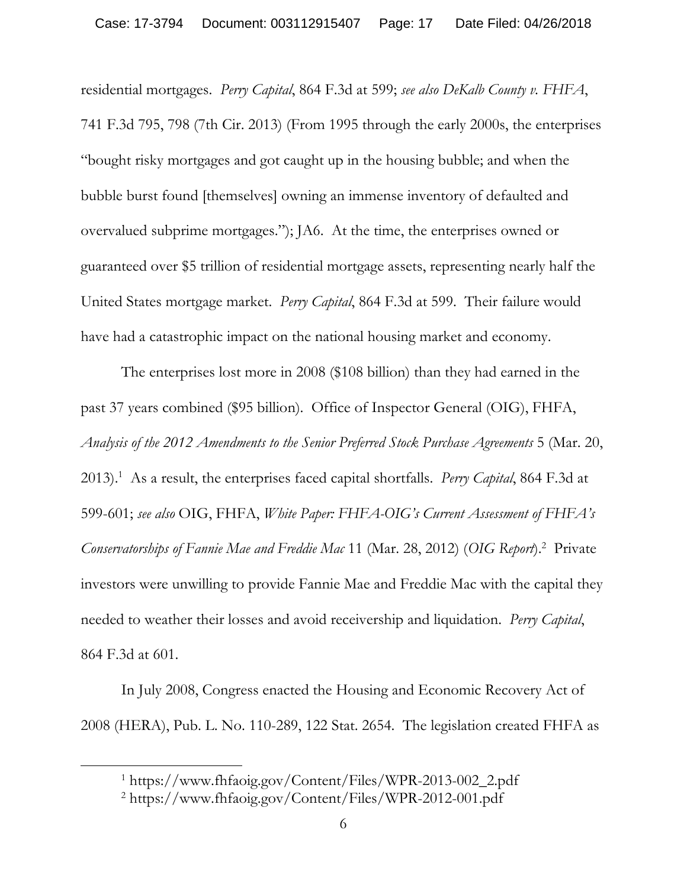residential mortgages. *Perry Capital*, 864 F.3d at 599; *see also DeKalb County v. FHFA*, 741 F.3d 795, 798 (7th Cir. 2013) (From 1995 through the early 2000s, the enterprises "bought risky mortgages and got caught up in the housing bubble; and when the bubble burst found [themselves] owning an immense inventory of defaulted and overvalued subprime mortgages."); JA6. At the time, the enterprises owned or guaranteed over \$5 trillion of residential mortgage assets, representing nearly half the United States mortgage market. *Perry Capital*, 864 F.3d at 599. Their failure would have had a catastrophic impact on the national housing market and economy.

The enterprises lost more in 2008 (\$108 billion) than they had earned in the past 37 years combined (\$95 billion). Office of Inspector General (OIG), FHFA, *Analysis of the 2012 Amendments to the Senior Preferred Stock Purchase Agreements* 5 (Mar. 20, 2013).1 As a result, the enterprises faced capital shortfalls. *Perry Capital*, 864 F.3d at 599-601; *see also* OIG, FHFA, *White Paper: FHFA-OIG's Current Assessment of FHFA's Conservatorships of Fannie Mae and Freddie Mac* 11 (Mar. 28, 2012) (*OIG Report*).2 Private investors were unwilling to provide Fannie Mae and Freddie Mac with the capital they needed to weather their losses and avoid receivership and liquidation. *Perry Capital*, 864 F.3d at 601.

In July 2008, Congress enacted the Housing and Economic Recovery Act of 2008 (HERA), Pub. L. No. 110-289, 122 Stat. 2654. The legislation created FHFA as

 $\overline{a}$ 

<sup>1</sup> https://www.fhfaoig.gov/Content/Files/WPR-2013-002\_2.pdf

<sup>2</sup> https://www.fhfaoig.gov/Content/Files/WPR-2012-001.pdf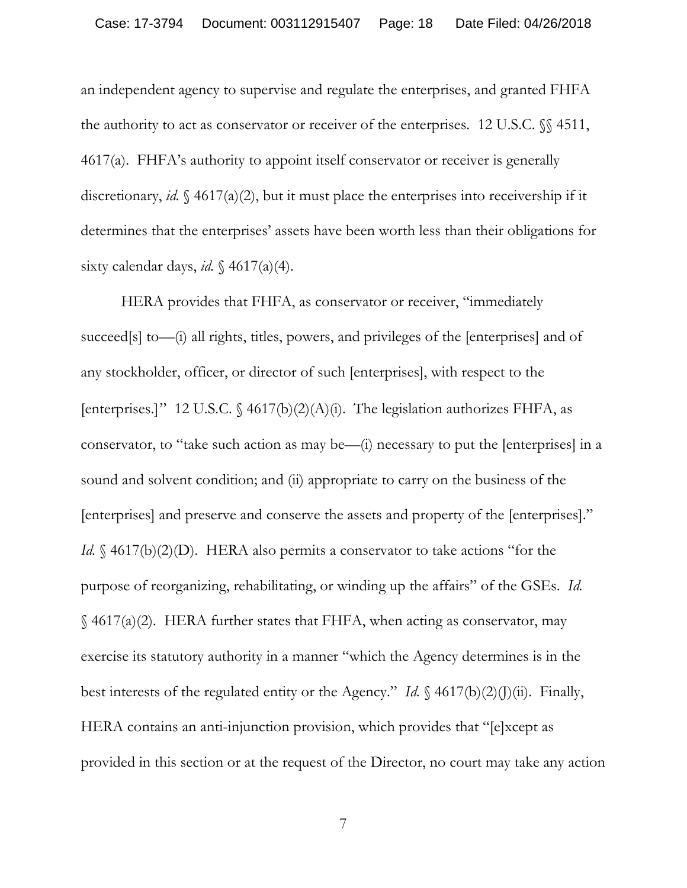an independent agency to supervise and regulate the enterprises, and granted FHFA the authority to act as conservator or receiver of the enterprises. 12 U.S.C. §§ 4511, 4617(a). FHFA's authority to appoint itself conservator or receiver is generally discretionary, *id.* § 4617(a)(2), but it must place the enterprises into receivership if it determines that the enterprises' assets have been worth less than their obligations for sixty calendar days, *id.*  $\{4617(a)(4)\}$ .

HERA provides that FHFA, as conservator or receiver, "immediately succeed[s] to—(i) all rights, titles, powers, and privileges of the [enterprises] and of any stockholder, officer, or director of such [enterprises], with respect to the [enterprises.]" 12 U.S.C.  $\frac{4617(b)(2)(A)(i)}{2}$ . The legislation authorizes FHFA, as conservator, to "take such action as may be—(i) necessary to put the [enterprises] in a sound and solvent condition; and (ii) appropriate to carry on the business of the [enterprises] and preserve and conserve the assets and property of the [enterprises]." *Id.* § 4617(b)(2)(D). HERA also permits a conservator to take actions "for the purpose of reorganizing, rehabilitating, or winding up the affairs" of the GSEs. *Id.* § 4617(a)(2). HERA further states that FHFA, when acting as conservator, may exercise its statutory authority in a manner "which the Agency determines is in the best interests of the regulated entity or the Agency." *Id.*  $\{(4617(b)(2)(J)(ii))\}$ . Finally, HERA contains an anti-injunction provision, which provides that "[e]xcept as provided in this section or at the request of the Director, no court may take any action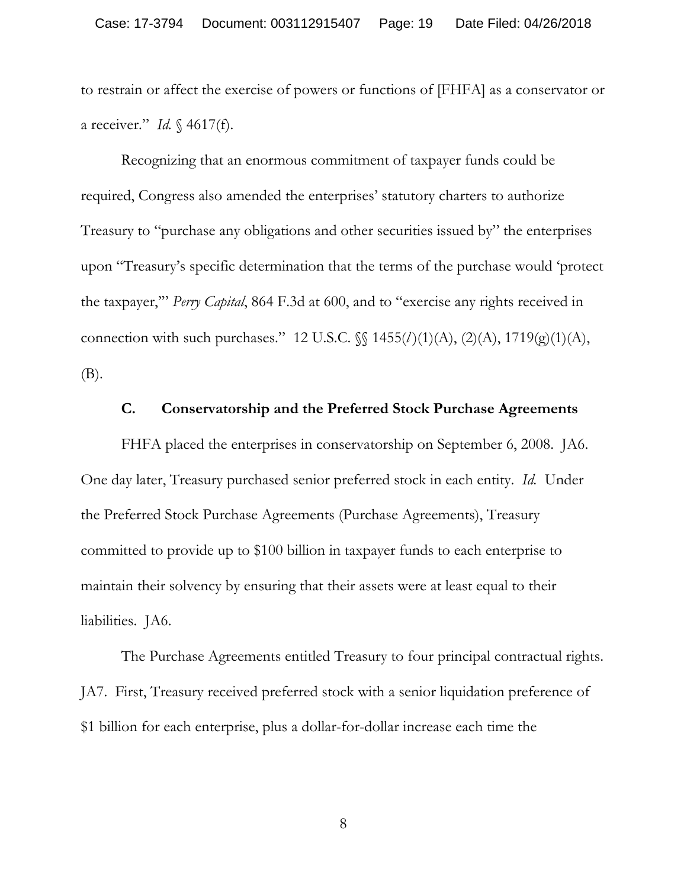to restrain or affect the exercise of powers or functions of [FHFA] as a conservator or a receiver." *Id.* § 4617(f).

Recognizing that an enormous commitment of taxpayer funds could be required, Congress also amended the enterprises' statutory charters to authorize Treasury to "purchase any obligations and other securities issued by" the enterprises upon "Treasury's specific determination that the terms of the purchase would 'protect the taxpayer,'" *Perry Capital*, 864 F.3d at 600, and to "exercise any rights received in connection with such purchases." 12 U.S.C. §§ 1455(*l* )(1)(A), (2)(A), 1719(g)(1)(A), (B).

### **C. Conservatorship and the Preferred Stock Purchase Agreements**

FHFA placed the enterprises in conservatorship on September 6, 2008. JA6. One day later, Treasury purchased senior preferred stock in each entity. *Id.* Under the Preferred Stock Purchase Agreements (Purchase Agreements), Treasury committed to provide up to \$100 billion in taxpayer funds to each enterprise to maintain their solvency by ensuring that their assets were at least equal to their liabilities. JA6.

The Purchase Agreements entitled Treasury to four principal contractual rights. JA7. First, Treasury received preferred stock with a senior liquidation preference of \$1 billion for each enterprise, plus a dollar-for-dollar increase each time the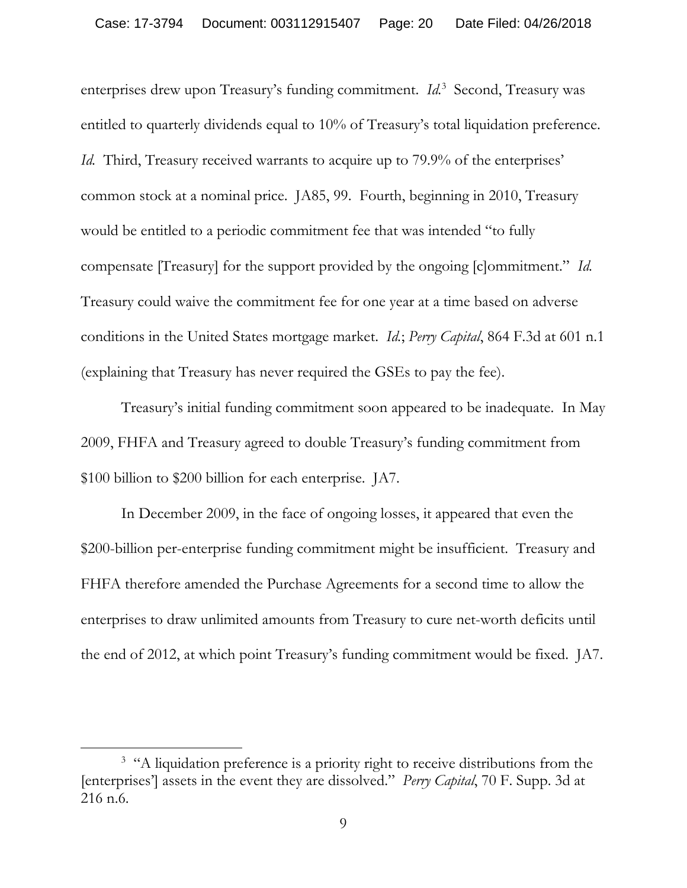enterprises drew upon Treasury's funding commitment. *Id.*<sup>3</sup> Second, Treasury was entitled to quarterly dividends equal to 10% of Treasury's total liquidation preference. *Id.* Third, Treasury received warrants to acquire up to 79.9% of the enterprises' common stock at a nominal price. JA85, 99. Fourth, beginning in 2010, Treasury would be entitled to a periodic commitment fee that was intended "to fully compensate [Treasury] for the support provided by the ongoing [c]ommitment." *Id.* Treasury could waive the commitment fee for one year at a time based on adverse conditions in the United States mortgage market. *Id.*; *Perry Capital*, 864 F.3d at 601 n.1 (explaining that Treasury has never required the GSEs to pay the fee).

Treasury's initial funding commitment soon appeared to be inadequate. In May 2009, FHFA and Treasury agreed to double Treasury's funding commitment from \$100 billion to \$200 billion for each enterprise. JA7.

In December 2009, in the face of ongoing losses, it appeared that even the \$200-billion per-enterprise funding commitment might be insufficient. Treasury and FHFA therefore amended the Purchase Agreements for a second time to allow the enterprises to draw unlimited amounts from Treasury to cure net-worth deficits until the end of 2012, at which point Treasury's funding commitment would be fixed. JA7.

 $\overline{a}$ 

<sup>&</sup>lt;sup>3</sup> "A liquidation preference is a priority right to receive distributions from the [enterprises'] assets in the event they are dissolved." *Perry Capital*, 70 F. Supp. 3d at 216 n.6.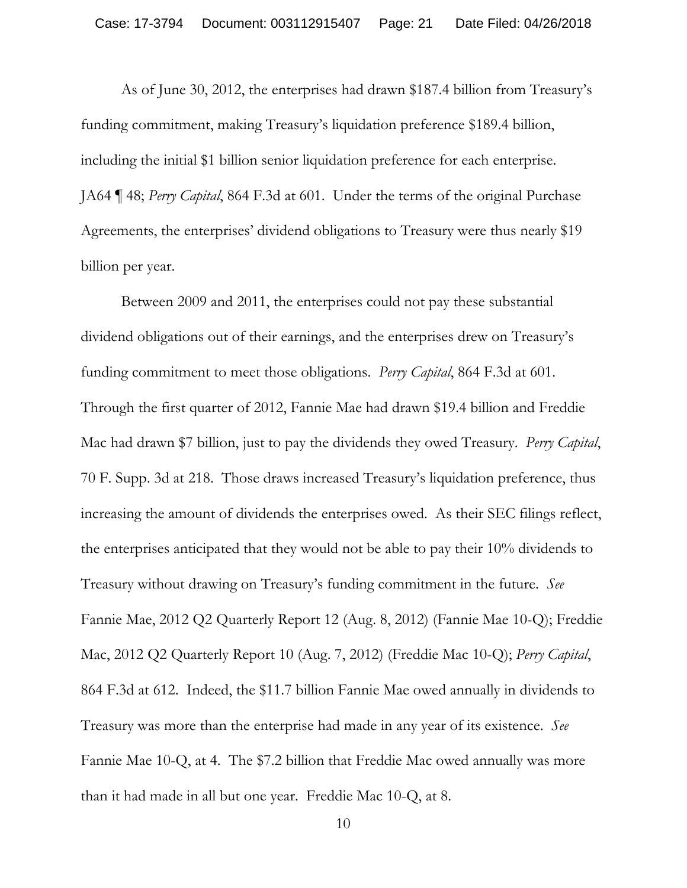As of June 30, 2012, the enterprises had drawn \$187.4 billion from Treasury's funding commitment, making Treasury's liquidation preference \$189.4 billion, including the initial \$1 billion senior liquidation preference for each enterprise. JA64 ¶ 48; *Perry Capital*, 864 F.3d at 601. Under the terms of the original Purchase Agreements, the enterprises' dividend obligations to Treasury were thus nearly \$19 billion per year.

Between 2009 and 2011, the enterprises could not pay these substantial dividend obligations out of their earnings, and the enterprises drew on Treasury's funding commitment to meet those obligations. *Perry Capital*, 864 F.3d at 601. Through the first quarter of 2012, Fannie Mae had drawn \$19.4 billion and Freddie Mac had drawn \$7 billion, just to pay the dividends they owed Treasury. *Perry Capital*, 70 F. Supp. 3d at 218. Those draws increased Treasury's liquidation preference, thus increasing the amount of dividends the enterprises owed. As their SEC filings reflect, the enterprises anticipated that they would not be able to pay their 10% dividends to Treasury without drawing on Treasury's funding commitment in the future. *See* Fannie Mae, 2012 Q2 Quarterly Report 12 (Aug. 8, 2012) (Fannie Mae 10-Q); Freddie Mac, 2012 Q2 Quarterly Report 10 (Aug. 7, 2012) (Freddie Mac 10-Q); *Perry Capital*, 864 F.3d at 612. Indeed, the \$11.7 billion Fannie Mae owed annually in dividends to Treasury was more than the enterprise had made in any year of its existence. *See*  Fannie Mae 10-Q, at 4. The \$7.2 billion that Freddie Mac owed annually was more than it had made in all but one year. Freddie Mac 10-Q, at 8.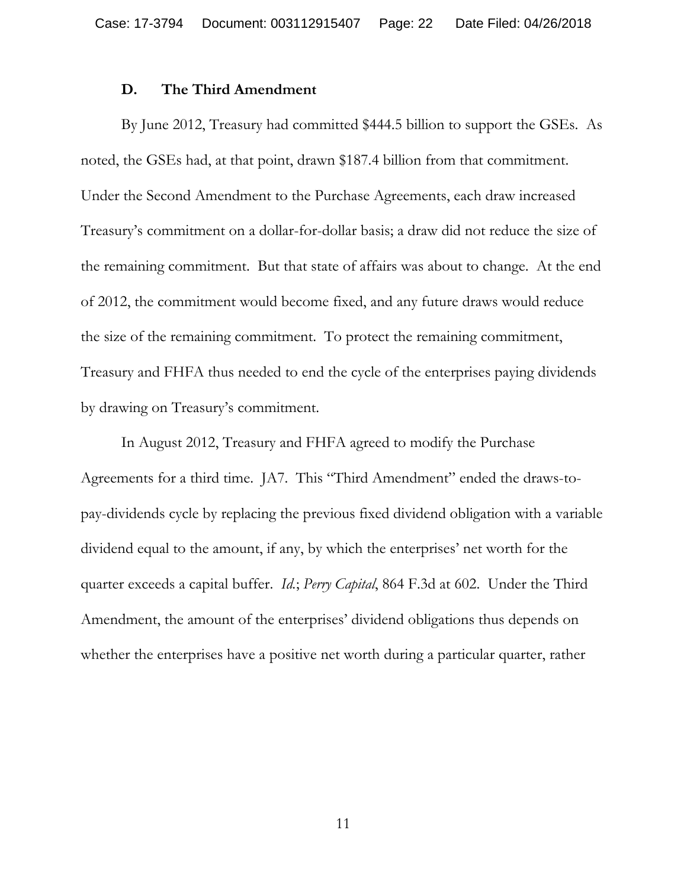#### **D. The Third Amendment**

By June 2012, Treasury had committed \$444.5 billion to support the GSEs. As noted, the GSEs had, at that point, drawn \$187.4 billion from that commitment. Under the Second Amendment to the Purchase Agreements, each draw increased Treasury's commitment on a dollar-for-dollar basis; a draw did not reduce the size of the remaining commitment. But that state of affairs was about to change. At the end of 2012, the commitment would become fixed, and any future draws would reduce the size of the remaining commitment. To protect the remaining commitment, Treasury and FHFA thus needed to end the cycle of the enterprises paying dividends by drawing on Treasury's commitment.

In August 2012, Treasury and FHFA agreed to modify the Purchase Agreements for a third time. JA7. This "Third Amendment" ended the draws-topay-dividends cycle by replacing the previous fixed dividend obligation with a variable dividend equal to the amount, if any, by which the enterprises' net worth for the quarter exceeds a capital buffer. *Id.*; *Perry Capital*, 864 F.3d at 602. Under the Third Amendment, the amount of the enterprises' dividend obligations thus depends on whether the enterprises have a positive net worth during a particular quarter, rather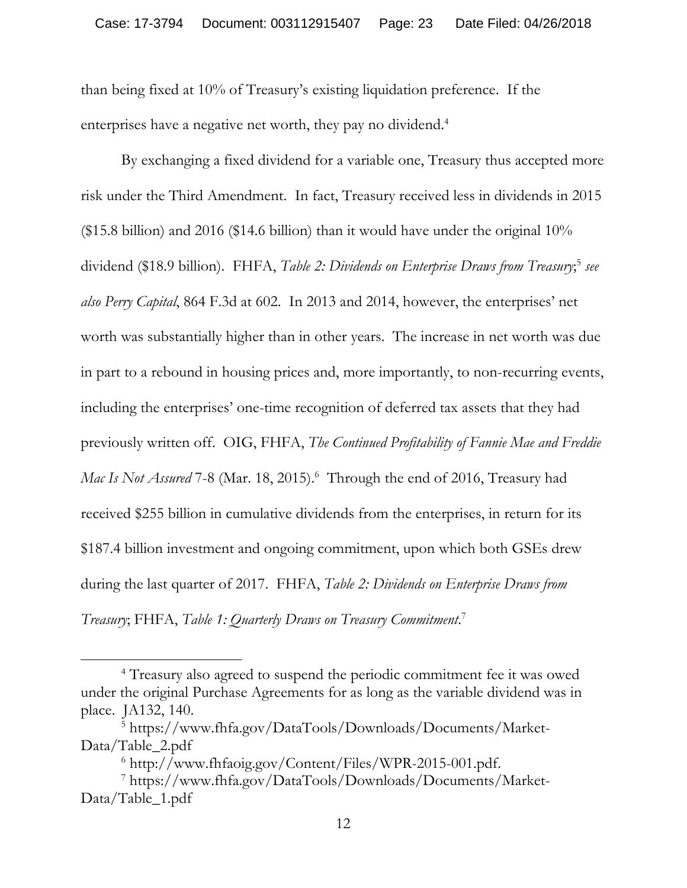than being fixed at 10% of Treasury's existing liquidation preference. If the enterprises have a negative net worth, they pay no dividend.<sup>4</sup>

By exchanging a fixed dividend for a variable one, Treasury thus accepted more risk under the Third Amendment. In fact, Treasury received less in dividends in 2015 (\$15.8 billion) and 2016 (\$14.6 billion) than it would have under the original 10% dividend (\$18.9 billion). FHFA, *Table 2: Dividends on Enterprise Draws from Treasury*; <sup>5</sup> *see also Perry Capital*, 864 F.3d at 602. In 2013 and 2014, however, the enterprises' net worth was substantially higher than in other years. The increase in net worth was due in part to a rebound in housing prices and, more importantly, to non-recurring events, including the enterprises' one-time recognition of deferred tax assets that they had previously written off. OIG, FHFA, *The Continued Profitability of Fannie Mae and Freddie*  Mac Is Not Assured 7-8 (Mar. 18, 2015).<sup>6</sup> Through the end of 2016, Treasury had received \$255 billion in cumulative dividends from the enterprises, in return for its \$187.4 billion investment and ongoing commitment, upon which both GSEs drew during the last quarter of 2017. FHFA, *Table 2: Dividends on Enterprise Draws from Treasury*; FHFA, *Table 1: Quarterly Draws on Treasury Commitment*. 7

 $\overline{a}$ 

<sup>&</sup>lt;sup>4</sup> Treasury also agreed to suspend the periodic commitment fee it was owed under the original Purchase Agreements for as long as the variable dividend was in place. JA132, 140.

<sup>5</sup> https://www.fhfa.gov/DataTools/Downloads/Documents/Market-Data/Table\_2.pdf

<sup>6</sup> http://www.fhfaoig.gov/Content/Files/WPR-2015-001.pdf.

<sup>7</sup> https://www.fhfa.gov/DataTools/Downloads/Documents/Market-Data/Table\_1.pdf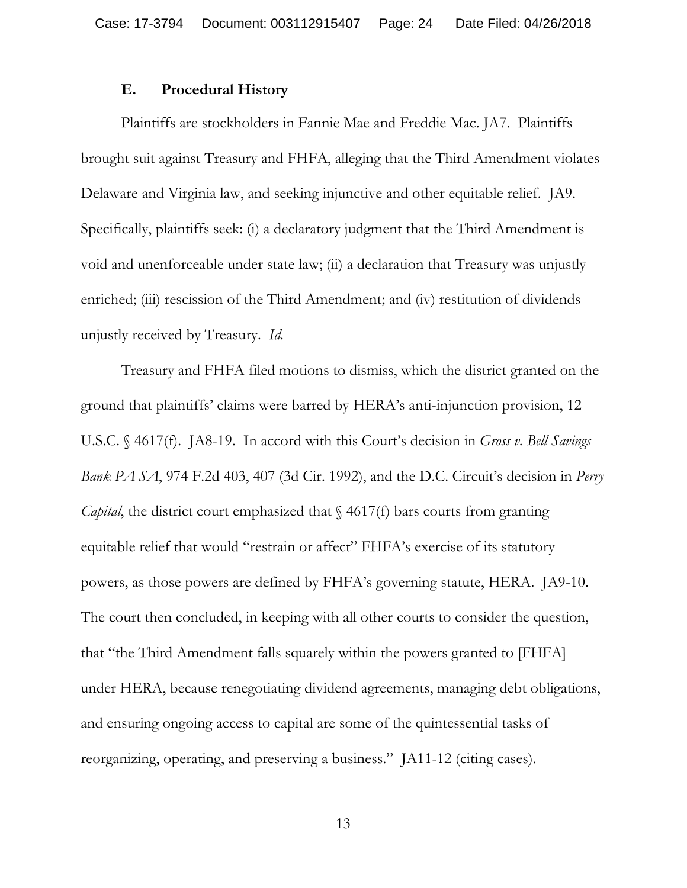### **E. Procedural History**

Plaintiffs are stockholders in Fannie Mae and Freddie Mac. JA7. Plaintiffs brought suit against Treasury and FHFA, alleging that the Third Amendment violates Delaware and Virginia law, and seeking injunctive and other equitable relief. JA9. Specifically, plaintiffs seek: (i) a declaratory judgment that the Third Amendment is void and unenforceable under state law; (ii) a declaration that Treasury was unjustly enriched; (iii) rescission of the Third Amendment; and (iv) restitution of dividends unjustly received by Treasury. *Id.*

Treasury and FHFA filed motions to dismiss, which the district granted on the ground that plaintiffs' claims were barred by HERA's anti-injunction provision, 12 U.S.C. § 4617(f). JA8-19. In accord with this Court's decision in *Gross v. Bell Savings Bank PA SA*, 974 F.2d 403, 407 (3d Cir. 1992), and the D.C. Circuit's decision in *Perry Capital*, the district court emphasized that  $\frac{64617(f)}{f}$  bars courts from granting equitable relief that would "restrain or affect" FHFA's exercise of its statutory powers, as those powers are defined by FHFA's governing statute, HERA. JA9-10. The court then concluded, in keeping with all other courts to consider the question, that "the Third Amendment falls squarely within the powers granted to [FHFA] under HERA, because renegotiating dividend agreements, managing debt obligations, and ensuring ongoing access to capital are some of the quintessential tasks of reorganizing, operating, and preserving a business." JA11-12 (citing cases).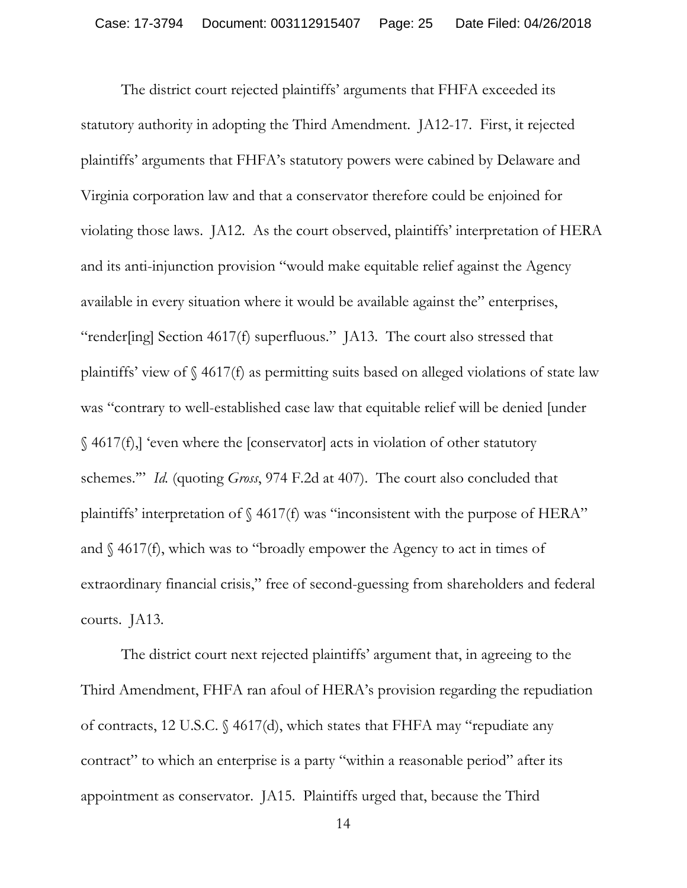The district court rejected plaintiffs' arguments that FHFA exceeded its statutory authority in adopting the Third Amendment. JA12-17. First, it rejected plaintiffs' arguments that FHFA's statutory powers were cabined by Delaware and Virginia corporation law and that a conservator therefore could be enjoined for violating those laws. JA12. As the court observed, plaintiffs' interpretation of HERA and its anti-injunction provision "would make equitable relief against the Agency available in every situation where it would be available against the" enterprises, "render[ing] Section 4617(f) superfluous." JA13. The court also stressed that plaintiffs' view of § 4617(f) as permitting suits based on alleged violations of state law was "contrary to well-established case law that equitable relief will be denied [under § 4617(f),] 'even where the [conservator] acts in violation of other statutory schemes.'" *Id.* (quoting *Gross*, 974 F.2d at 407). The court also concluded that plaintiffs' interpretation of § 4617(f) was "inconsistent with the purpose of HERA" and  $\S$  4617(f), which was to "broadly empower the Agency to act in times of extraordinary financial crisis," free of second-guessing from shareholders and federal courts. JA13.

The district court next rejected plaintiffs' argument that, in agreeing to the Third Amendment, FHFA ran afoul of HERA's provision regarding the repudiation of contracts, 12 U.S.C. § 4617(d), which states that FHFA may "repudiate any contract" to which an enterprise is a party "within a reasonable period" after its appointment as conservator. JA15. Plaintiffs urged that, because the Third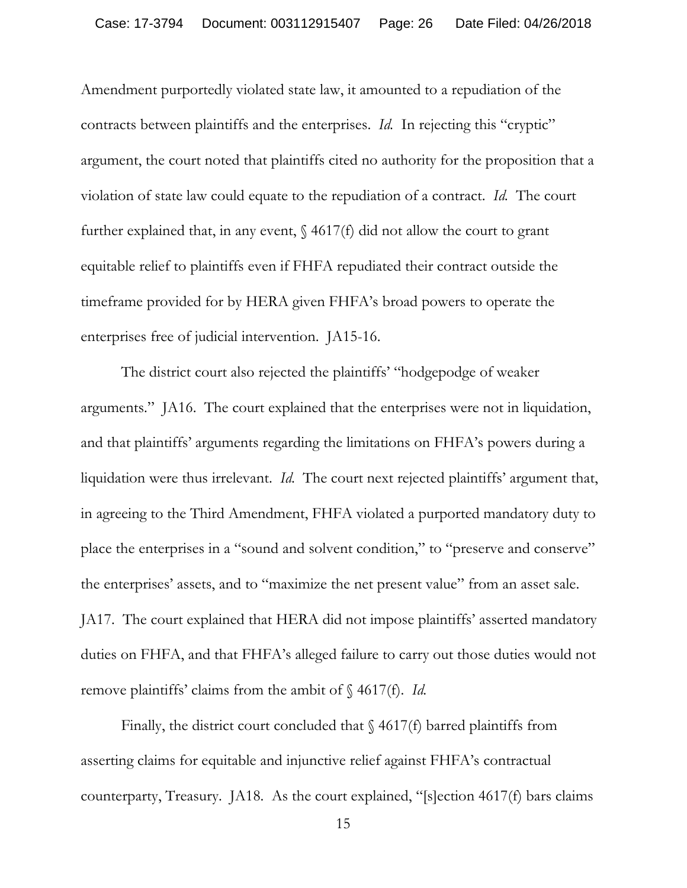Amendment purportedly violated state law, it amounted to a repudiation of the contracts between plaintiffs and the enterprises. *Id.* In rejecting this "cryptic" argument, the court noted that plaintiffs cited no authority for the proposition that a violation of state law could equate to the repudiation of a contract. *Id.* The court further explained that, in any event,  $\frac{1}{2}$  4617(f) did not allow the court to grant equitable relief to plaintiffs even if FHFA repudiated their contract outside the timeframe provided for by HERA given FHFA's broad powers to operate the enterprises free of judicial intervention. JA15-16.

The district court also rejected the plaintiffs' "hodgepodge of weaker arguments." JA16. The court explained that the enterprises were not in liquidation, and that plaintiffs' arguments regarding the limitations on FHFA's powers during a liquidation were thus irrelevant. *Id.* The court next rejected plaintiffs' argument that, in agreeing to the Third Amendment, FHFA violated a purported mandatory duty to place the enterprises in a "sound and solvent condition," to "preserve and conserve" the enterprises' assets, and to "maximize the net present value" from an asset sale. JA17. The court explained that HERA did not impose plaintiffs' asserted mandatory duties on FHFA, and that FHFA's alleged failure to carry out those duties would not remove plaintiffs' claims from the ambit of § 4617(f). *Id.*

Finally, the district court concluded that  $\S$  4617(f) barred plaintiffs from asserting claims for equitable and injunctive relief against FHFA's contractual counterparty, Treasury. JA18. As the court explained, "[s]ection 4617(f) bars claims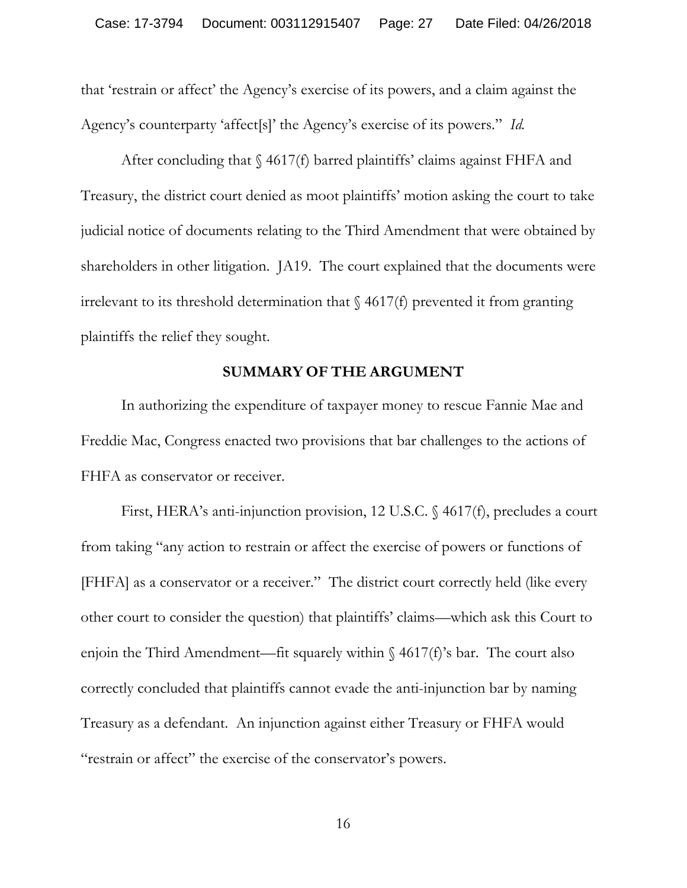that 'restrain or affect' the Agency's exercise of its powers, and a claim against the Agency's counterparty 'affect[s]' the Agency's exercise of its powers." *Id.*

After concluding that  $\S$  4617(f) barred plaintiffs' claims against FHFA and Treasury, the district court denied as moot plaintiffs' motion asking the court to take judicial notice of documents relating to the Third Amendment that were obtained by shareholders in other litigation. JA19. The court explained that the documents were irrelevant to its threshold determination that  $\S$  4617(f) prevented it from granting plaintiffs the relief they sought.

### **SUMMARY OF THE ARGUMENT**

In authorizing the expenditure of taxpayer money to rescue Fannie Mae and Freddie Mac, Congress enacted two provisions that bar challenges to the actions of FHFA as conservator or receiver.

First, HERA's anti-injunction provision, 12 U.S.C. § 4617(f), precludes a court from taking "any action to restrain or affect the exercise of powers or functions of [FHFA] as a conservator or a receiver." The district court correctly held (like every other court to consider the question) that plaintiffs' claims—which ask this Court to enjoin the Third Amendment—fit squarely within  $\S$  4617(f)'s bar. The court also correctly concluded that plaintiffs cannot evade the anti-injunction bar by naming Treasury as a defendant. An injunction against either Treasury or FHFA would "restrain or affect" the exercise of the conservator's powers.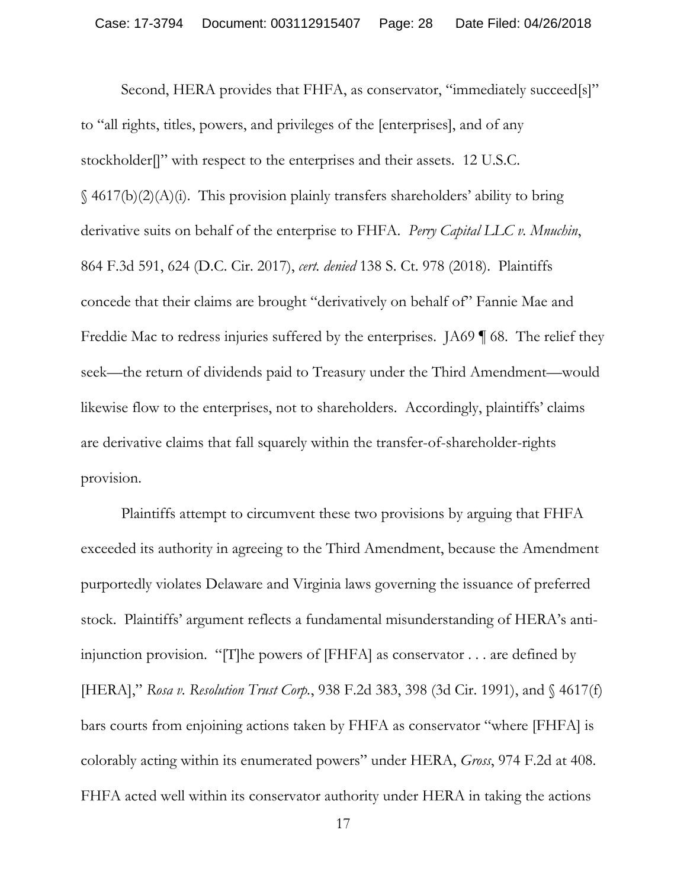Second, HERA provides that FHFA, as conservator, "immediately succeed[s]" to "all rights, titles, powers, and privileges of the [enterprises], and of any stockholder<sup>[]"</sup> with respect to the enterprises and their assets. 12 U.S.C.  $\S$  4617(b)(2)(A)(i). This provision plainly transfers shareholders' ability to bring derivative suits on behalf of the enterprise to FHFA. *Perry Capital LLC v. Mnuchin*, 864 F.3d 591, 624 (D.C. Cir. 2017), *cert. denied* 138 S. Ct. 978 (2018). Plaintiffs concede that their claims are brought "derivatively on behalf of" Fannie Mae and Freddie Mac to redress injuries suffered by the enterprises. JA69 | 68. The relief they seek—the return of dividends paid to Treasury under the Third Amendment—would likewise flow to the enterprises, not to shareholders. Accordingly, plaintiffs' claims are derivative claims that fall squarely within the transfer-of-shareholder-rights provision.

Plaintiffs attempt to circumvent these two provisions by arguing that FHFA exceeded its authority in agreeing to the Third Amendment, because the Amendment purportedly violates Delaware and Virginia laws governing the issuance of preferred stock. Plaintiffs' argument reflects a fundamental misunderstanding of HERA's antiinjunction provision. "[T]he powers of [FHFA] as conservator . . . are defined by [HERA]," *Rosa v. Resolution Trust Corp.*, 938 F.2d 383, 398 (3d Cir. 1991), and § 4617(f) bars courts from enjoining actions taken by FHFA as conservator "where [FHFA] is colorably acting within its enumerated powers" under HERA, *Gross*, 974 F.2d at 408. FHFA acted well within its conservator authority under HERA in taking the actions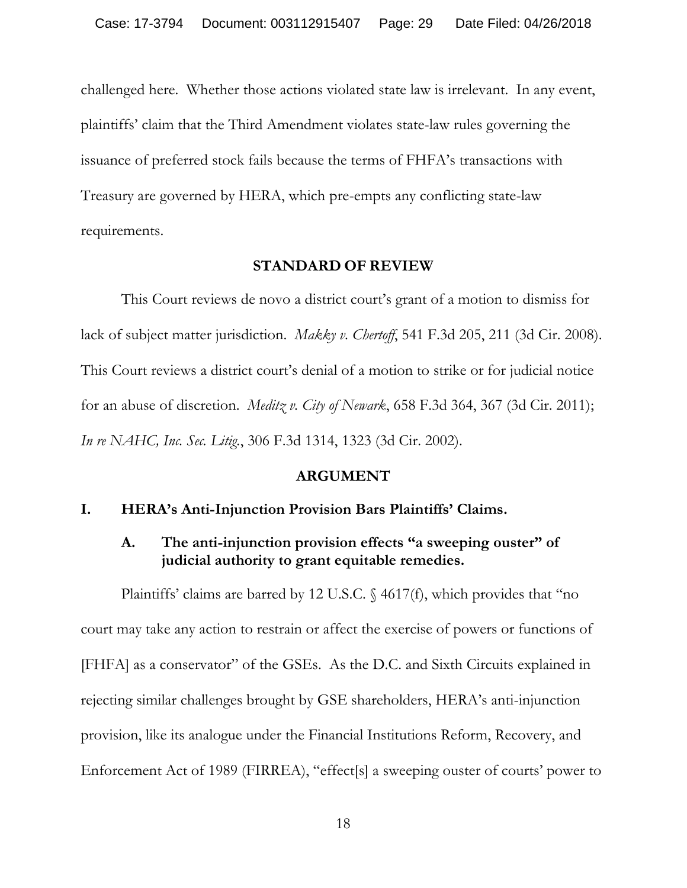challenged here. Whether those actions violated state law is irrelevant. In any event, plaintiffs' claim that the Third Amendment violates state-law rules governing the issuance of preferred stock fails because the terms of FHFA's transactions with Treasury are governed by HERA, which pre-empts any conflicting state-law requirements.

### **STANDARD OF REVIEW**

This Court reviews de novo a district court's grant of a motion to dismiss for lack of subject matter jurisdiction. *Makky v. Chertoff*, 541 F.3d 205, 211 (3d Cir. 2008). This Court reviews a district court's denial of a motion to strike or for judicial notice for an abuse of discretion. *Meditz v. City of Newark*, 658 F.3d 364, 367 (3d Cir. 2011); *In re NAHC, Inc. Sec. Litig.*, 306 F.3d 1314, 1323 (3d Cir. 2002).

#### **ARGUMENT**

### **I. HERA's Anti-Injunction Provision Bars Plaintiffs' Claims.**

# **A. The anti-injunction provision effects "a sweeping ouster" of judicial authority to grant equitable remedies.**

Plaintiffs' claims are barred by 12 U.S.C. § 4617(f), which provides that "no court may take any action to restrain or affect the exercise of powers or functions of [FHFA] as a conservator" of the GSEs. As the D.C. and Sixth Circuits explained in rejecting similar challenges brought by GSE shareholders, HERA's anti-injunction provision, like its analogue under the Financial Institutions Reform, Recovery, and Enforcement Act of 1989 (FIRREA), "effect[s] a sweeping ouster of courts' power to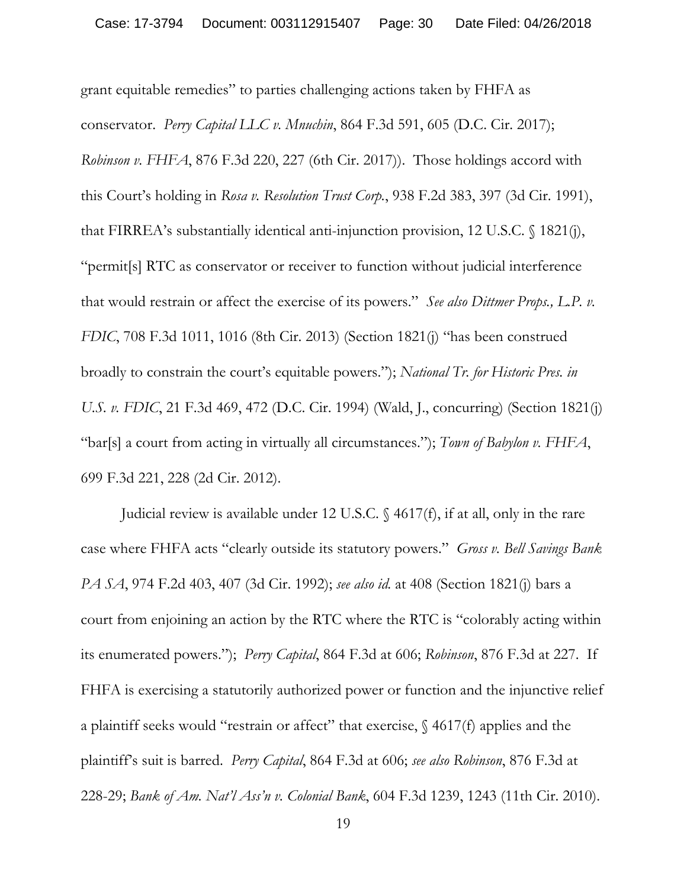grant equitable remedies" to parties challenging actions taken by FHFA as conservator. *Perry Capital LLC v. Mnuchin*, 864 F.3d 591, 605 (D.C. Cir. 2017); *Robinson v. FHFA*, 876 F.3d 220, 227 (6th Cir. 2017)). Those holdings accord with this Court's holding in *Rosa v. Resolution Trust Corp.*, 938 F.2d 383, 397 (3d Cir. 1991), that FIRREA's substantially identical anti-injunction provision, 12 U.S.C. § 1821(j), "permit[s] RTC as conservator or receiver to function without judicial interference that would restrain or affect the exercise of its powers." *See also Dittmer Props., L.P. v. FDIC*, 708 F.3d 1011, 1016 (8th Cir. 2013) (Section 1821(j) "has been construed broadly to constrain the court's equitable powers."); *National Tr. for Historic Pres. in U.S. v. FDIC*, 21 F.3d 469, 472 (D.C. Cir. 1994) (Wald, J., concurring) (Section 1821(j) "bar[s] a court from acting in virtually all circumstances."); *Town of Babylon v. FHFA*, 699 F.3d 221, 228 (2d Cir. 2012).

Judicial review is available under 12 U.S.C. § 4617(f), if at all, only in the rare case where FHFA acts "clearly outside its statutory powers." *Gross v. Bell Savings Bank PA SA*, 974 F.2d 403, 407 (3d Cir. 1992); *see also id.* at 408 (Section 1821(j) bars a court from enjoining an action by the RTC where the RTC is "colorably acting within its enumerated powers."); *Perry Capital*, 864 F.3d at 606; *Robinson*, 876 F.3d at 227. If FHFA is exercising a statutorily authorized power or function and the injunctive relief a plaintiff seeks would "restrain or affect" that exercise, § 4617(f) applies and the plaintiff's suit is barred. *Perry Capital*, 864 F.3d at 606; *see also Robinson*, 876 F.3d at 228-29; *Bank of Am. Nat'l Ass'n v. Colonial Bank*, 604 F.3d 1239, 1243 (11th Cir. 2010).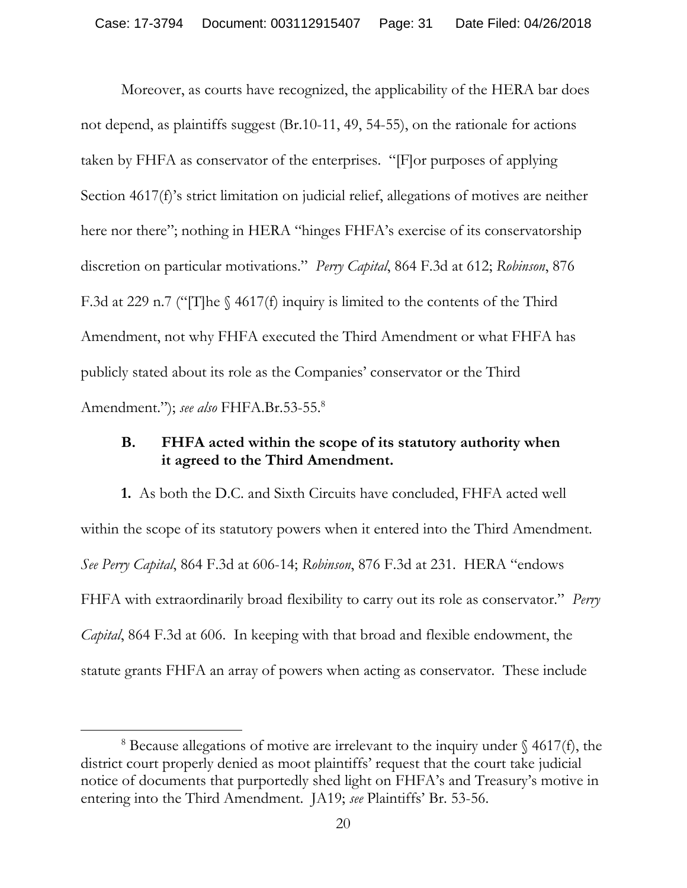Moreover, as courts have recognized, the applicability of the HERA bar does not depend, as plaintiffs suggest (Br.10-11, 49, 54-55), on the rationale for actions taken by FHFA as conservator of the enterprises. "[F]or purposes of applying Section 4617(f)'s strict limitation on judicial relief, allegations of motives are neither here nor there"; nothing in HERA "hinges FHFA's exercise of its conservatorship discretion on particular motivations." *Perry Capital*, 864 F.3d at 612; *Robinson*, 876 F.3d at 229 n.7 ("[T]he § 4617(f) inquiry is limited to the contents of the Third Amendment, not why FHFA executed the Third Amendment or what FHFA has publicly stated about its role as the Companies' conservator or the Third Amendment."); *see also* FHFA.Br.53-55.8

# **B. FHFA acted within the scope of its statutory authority when it agreed to the Third Amendment.**

**1.** As both the D.C. and Sixth Circuits have concluded, FHFA acted well within the scope of its statutory powers when it entered into the Third Amendment. *See Perry Capital*, 864 F.3d at 606-14; *Robinson*, 876 F.3d at 231. HERA "endows FHFA with extraordinarily broad flexibility to carry out its role as conservator." *Perry Capital*, 864 F.3d at 606. In keeping with that broad and flexible endowment, the statute grants FHFA an array of powers when acting as conservator. These include

 $\overline{a}$ 

<sup>&</sup>lt;sup>8</sup> Because allegations of motive are irrelevant to the inquiry under  $\S$  4617(f), the district court properly denied as moot plaintiffs' request that the court take judicial notice of documents that purportedly shed light on FHFA's and Treasury's motive in entering into the Third Amendment. JA19; *see* Plaintiffs' Br. 53-56.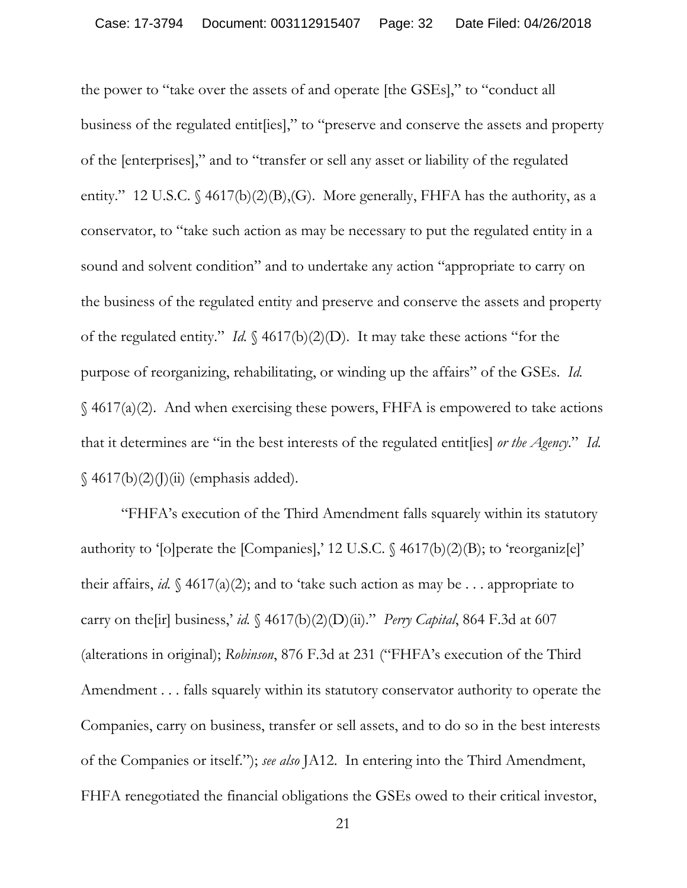the power to "take over the assets of and operate [the GSEs]," to "conduct all business of the regulated entit[ies]," to "preserve and conserve the assets and property of the [enterprises]," and to "transfer or sell any asset or liability of the regulated entity." 12 U.S.C. § 4617(b)(2)(B),(G). More generally, FHFA has the authority, as a conservator, to "take such action as may be necessary to put the regulated entity in a sound and solvent condition" and to undertake any action "appropriate to carry on the business of the regulated entity and preserve and conserve the assets and property of the regulated entity." *Id.* § 4617(b)(2)(D). It may take these actions "for the purpose of reorganizing, rehabilitating, or winding up the affairs" of the GSEs. *Id.*  $\S$  4617(a)(2). And when exercising these powers, FHFA is empowered to take actions that it determines are "in the best interests of the regulated entit[ies] *or the Agency*." *Id.*  $\{(4617(b)(2)(j)(ii)$  (emphasis added).

"FHFA's execution of the Third Amendment falls squarely within its statutory authority to '[o] perate the [Companies],' 12 U.S.C.  $\{\frac{4617(b)(2)(B)}{100}(B)\}$ ; to 'reorganiz[e]' their affairs, *id.*  $\oint$  4617(a)(2); and to 'take such action as may be . . . appropriate to carry on the [ir] business,' *id.*  $\frac{64617(b)(2)(D)(ii)}{2}$ ." *Perry Capital*, 864 F.3d at 607 (alterations in original); *Robinson*, 876 F.3d at 231 ("FHFA's execution of the Third Amendment . . . falls squarely within its statutory conservator authority to operate the Companies, carry on business, transfer or sell assets, and to do so in the best interests of the Companies or itself."); *see also* JA12. In entering into the Third Amendment, FHFA renegotiated the financial obligations the GSEs owed to their critical investor,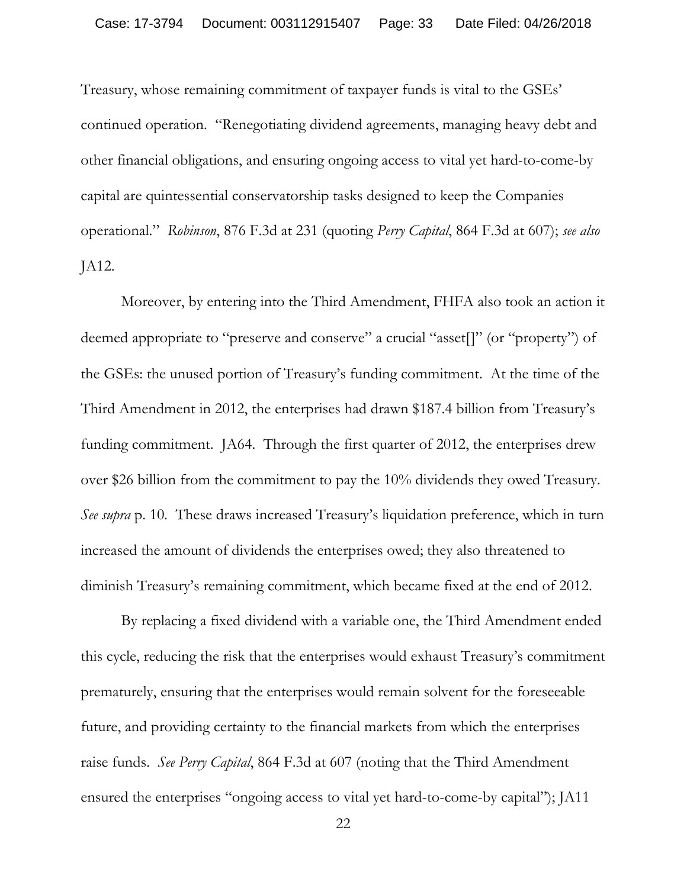Treasury, whose remaining commitment of taxpayer funds is vital to the GSEs' continued operation. "Renegotiating dividend agreements, managing heavy debt and other financial obligations, and ensuring ongoing access to vital yet hard-to-come-by capital are quintessential conservatorship tasks designed to keep the Companies operational." *Robinson*, 876 F.3d at 231 (quoting *Perry Capital*, 864 F.3d at 607); *see also* JA12.

Moreover, by entering into the Third Amendment, FHFA also took an action it deemed appropriate to "preserve and conserve" a crucial "asset[]" (or "property") of the GSEs: the unused portion of Treasury's funding commitment. At the time of the Third Amendment in 2012, the enterprises had drawn \$187.4 billion from Treasury's funding commitment. JA64. Through the first quarter of 2012, the enterprises drew over \$26 billion from the commitment to pay the 10% dividends they owed Treasury. *See supra* p. 10*.* These draws increased Treasury's liquidation preference, which in turn increased the amount of dividends the enterprises owed; they also threatened to diminish Treasury's remaining commitment, which became fixed at the end of 2012.

By replacing a fixed dividend with a variable one, the Third Amendment ended this cycle, reducing the risk that the enterprises would exhaust Treasury's commitment prematurely, ensuring that the enterprises would remain solvent for the foreseeable future, and providing certainty to the financial markets from which the enterprises raise funds. *See Perry Capital*, 864 F.3d at 607 (noting that the Third Amendment ensured the enterprises "ongoing access to vital yet hard-to-come-by capital"); JA11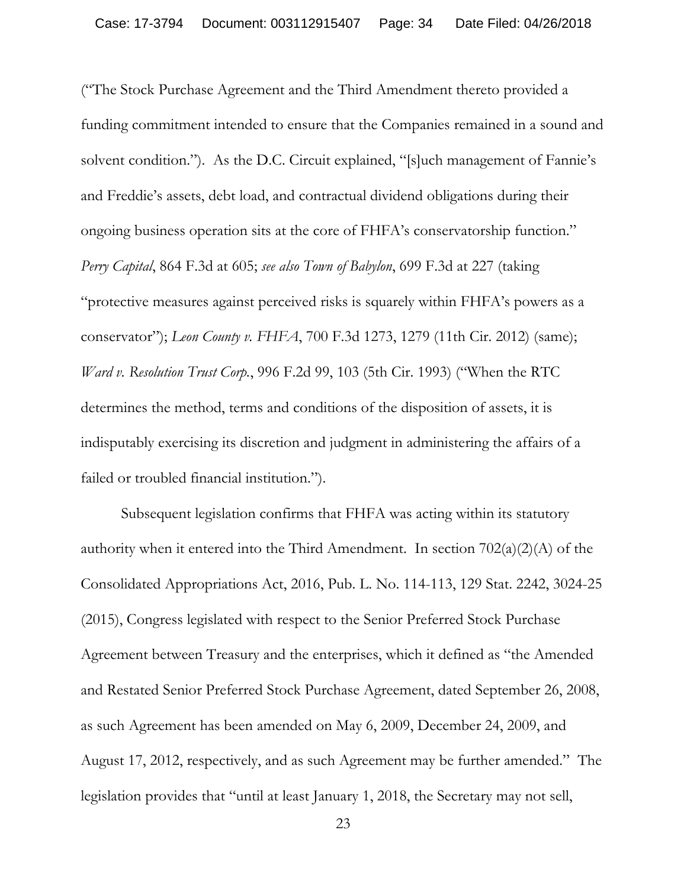("The Stock Purchase Agreement and the Third Amendment thereto provided a funding commitment intended to ensure that the Companies remained in a sound and solvent condition."). As the D.C. Circuit explained, "[s]uch management of Fannie's and Freddie's assets, debt load, and contractual dividend obligations during their ongoing business operation sits at the core of FHFA's conservatorship function." *Perry Capital*, 864 F.3d at 605; *see also Town of Babylon*, 699 F.3d at 227 (taking "protective measures against perceived risks is squarely within FHFA's powers as a conservator"); *Leon County v. FHFA*, 700 F.3d 1273, 1279 (11th Cir. 2012) (same); *Ward v. Resolution Trust Corp.*, 996 F.2d 99, 103 (5th Cir. 1993) ("When the RTC determines the method, terms and conditions of the disposition of assets, it is indisputably exercising its discretion and judgment in administering the affairs of a failed or troubled financial institution.").

Subsequent legislation confirms that FHFA was acting within its statutory authority when it entered into the Third Amendment. In section  $702(a)(2)(A)$  of the Consolidated Appropriations Act, 2016, Pub. L. No. 114-113, 129 Stat. 2242, 3024-25 (2015), Congress legislated with respect to the Senior Preferred Stock Purchase Agreement between Treasury and the enterprises, which it defined as "the Amended and Restated Senior Preferred Stock Purchase Agreement, dated September 26, 2008, as such Agreement has been amended on May 6, 2009, December 24, 2009, and August 17, 2012, respectively, and as such Agreement may be further amended." The legislation provides that "until at least January 1, 2018, the Secretary may not sell,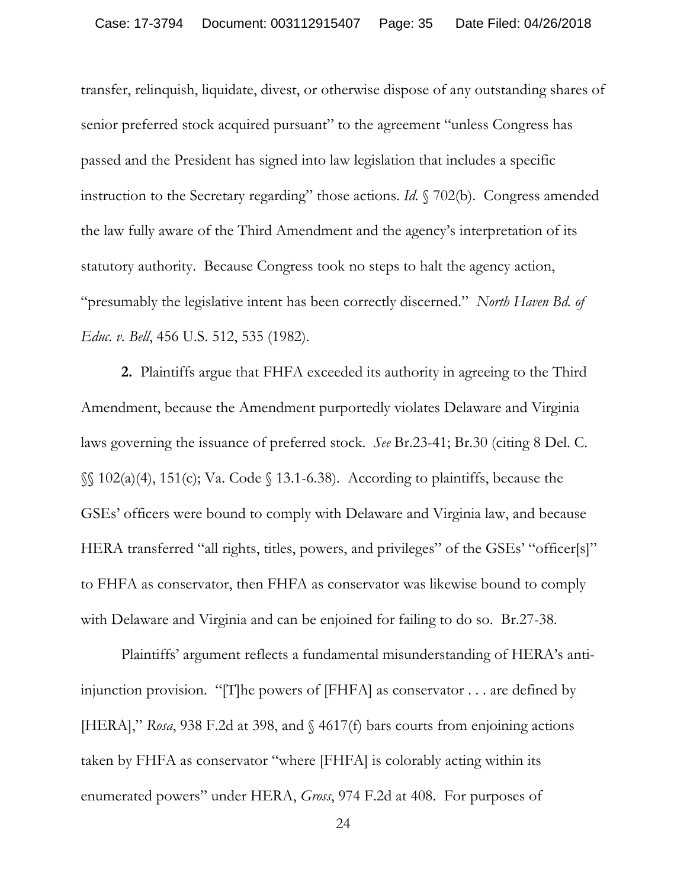transfer, relinquish, liquidate, divest, or otherwise dispose of any outstanding shares of senior preferred stock acquired pursuant" to the agreement "unless Congress has passed and the President has signed into law legislation that includes a specific instruction to the Secretary regarding" those actions. *Id.* § 702(b). Congress amended the law fully aware of the Third Amendment and the agency's interpretation of its statutory authority. Because Congress took no steps to halt the agency action, "presumably the legislative intent has been correctly discerned." *North Haven Bd. of Educ. v. Bell*, 456 U.S. 512, 535 (1982).

**2.** Plaintiffs argue that FHFA exceeded its authority in agreeing to the Third Amendment, because the Amendment purportedly violates Delaware and Virginia laws governing the issuance of preferred stock. *See* Br.23-41; Br.30 (citing 8 Del. C.  $\S$ [02(a)(4), 151(c); Va. Code  $\S$  13.1-6.38). According to plaintiffs, because the GSEs' officers were bound to comply with Delaware and Virginia law, and because HERA transferred "all rights, titles, powers, and privileges" of the GSEs' "officer[s]" to FHFA as conservator, then FHFA as conservator was likewise bound to comply with Delaware and Virginia and can be enjoined for failing to do so. Br.27-38.

Plaintiffs' argument reflects a fundamental misunderstanding of HERA's antiinjunction provision. "[T]he powers of [FHFA] as conservator . . . are defined by [HERA]," *Rosa*, 938 F.2d at 398, and § 4617(f) bars courts from enjoining actions taken by FHFA as conservator "where [FHFA] is colorably acting within its enumerated powers" under HERA, *Gross*, 974 F.2d at 408. For purposes of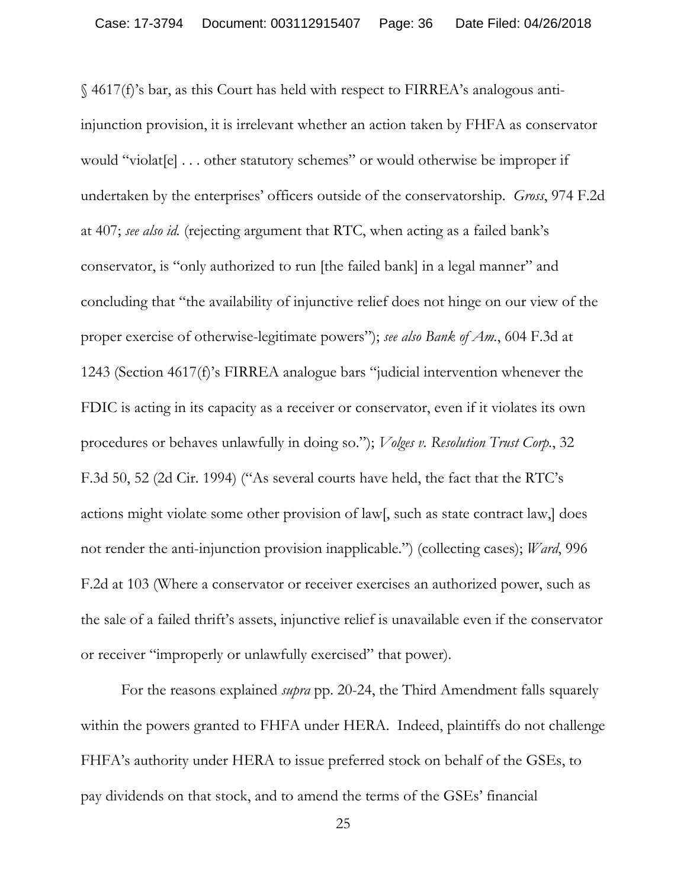§ 4617(f)'s bar, as this Court has held with respect to FIRREA's analogous antiinjunction provision, it is irrelevant whether an action taken by FHFA as conservator would "violat[e] . . . other statutory schemes" or would otherwise be improper if undertaken by the enterprises' officers outside of the conservatorship. *Gross*, 974 F.2d at 407; *see also id.* (rejecting argument that RTC, when acting as a failed bank's conservator, is "only authorized to run [the failed bank] in a legal manner" and concluding that "the availability of injunctive relief does not hinge on our view of the proper exercise of otherwise-legitimate powers"); *see also Bank of Am.*, 604 F.3d at 1243 (Section 4617(f)'s FIRREA analogue bars "judicial intervention whenever the FDIC is acting in its capacity as a receiver or conservator, even if it violates its own procedures or behaves unlawfully in doing so."); *Volges v. Resolution Trust Corp.*, 32 F.3d 50, 52 (2d Cir. 1994) ("As several courts have held, the fact that the RTC's actions might violate some other provision of law[, such as state contract law,] does not render the anti-injunction provision inapplicable.") (collecting cases); *Ward*, 996 F.2d at 103 (Where a conservator or receiver exercises an authorized power, such as the sale of a failed thrift's assets, injunctive relief is unavailable even if the conservator or receiver "improperly or unlawfully exercised" that power).

For the reasons explained *supra* pp. 20-24, the Third Amendment falls squarely within the powers granted to FHFA under HERA. Indeed, plaintiffs do not challenge FHFA's authority under HERA to issue preferred stock on behalf of the GSEs, to pay dividends on that stock, and to amend the terms of the GSEs' financial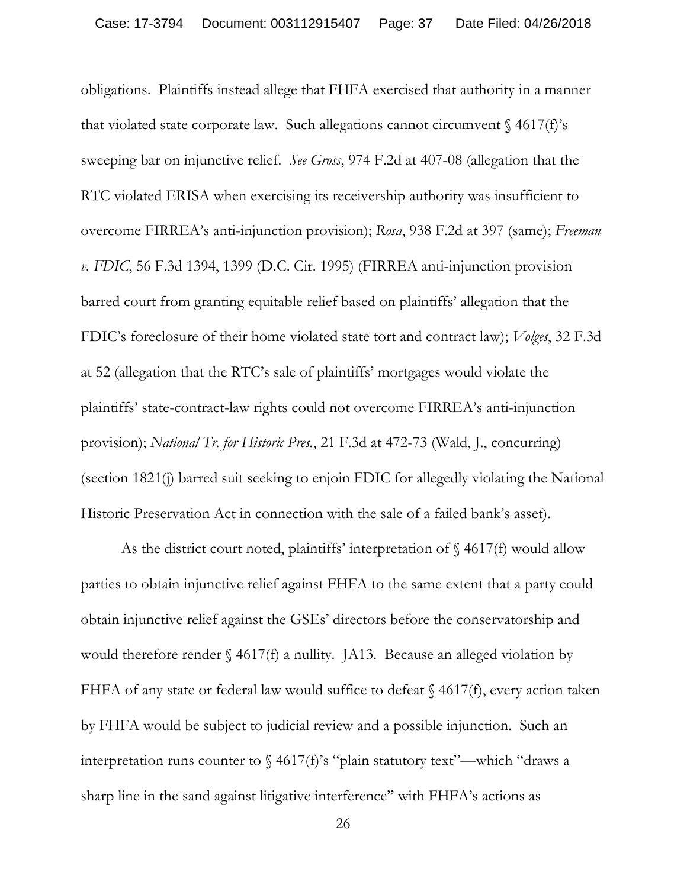obligations. Plaintiffs instead allege that FHFA exercised that authority in a manner that violated state corporate law. Such allegations cannot circumvent  $\frac{1}{2}$  4617(f)'s sweeping bar on injunctive relief. *See Gross*, 974 F.2d at 407-08 (allegation that the RTC violated ERISA when exercising its receivership authority was insufficient to overcome FIRREA's anti-injunction provision); *Rosa*, 938 F.2d at 397 (same); *Freeman v. FDIC*, 56 F.3d 1394, 1399 (D.C. Cir. 1995) (FIRREA anti-injunction provision barred court from granting equitable relief based on plaintiffs' allegation that the FDIC's foreclosure of their home violated state tort and contract law); *Volges*, 32 F.3d at 52 (allegation that the RTC's sale of plaintiffs' mortgages would violate the plaintiffs' state-contract-law rights could not overcome FIRREA's anti-injunction provision); *National Tr. for Historic Pres.*, 21 F.3d at 472-73 (Wald, J., concurring) (section 1821(j) barred suit seeking to enjoin FDIC for allegedly violating the National Historic Preservation Act in connection with the sale of a failed bank's asset).

As the district court noted, plaintiffs' interpretation of  $\S$  4617(f) would allow parties to obtain injunctive relief against FHFA to the same extent that a party could obtain injunctive relief against the GSEs' directors before the conservatorship and would therefore render  $\S$  4617(f) a nullity. JA13. Because an alleged violation by FHFA of any state or federal law would suffice to defeat § 4617(f), every action taken by FHFA would be subject to judicial review and a possible injunction. Such an interpretation runs counter to  $\frac{4617(f)}{s}$  "plain statutory text"—which "draws a sharp line in the sand against litigative interference" with FHFA's actions as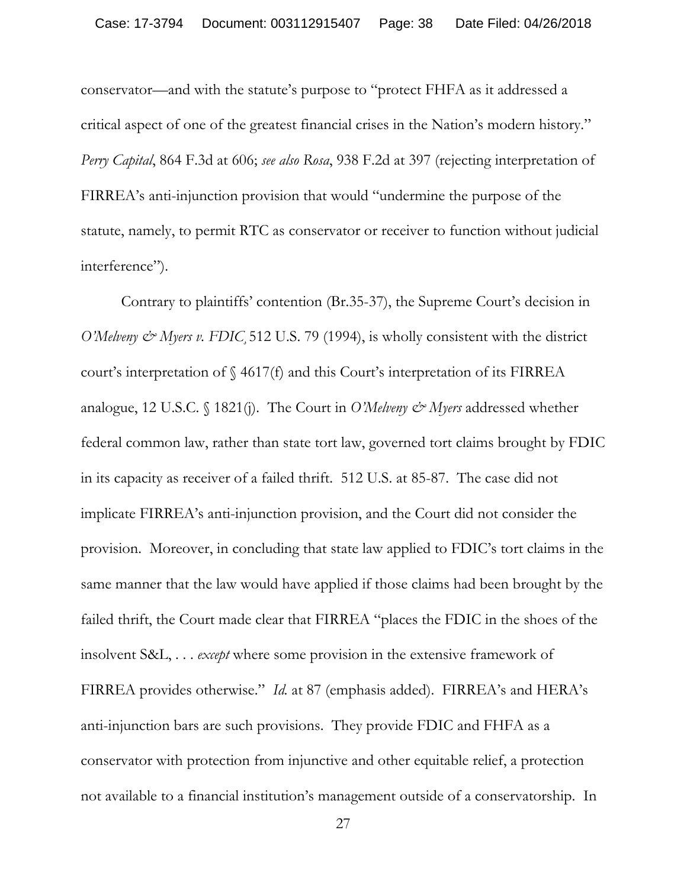conservator—and with the statute's purpose to "protect FHFA as it addressed a critical aspect of one of the greatest financial crises in the Nation's modern history." *Perry Capital*, 864 F.3d at 606; *see also Rosa*, 938 F.2d at 397 (rejecting interpretation of FIRREA's anti-injunction provision that would "undermine the purpose of the statute, namely, to permit RTC as conservator or receiver to function without judicial interference").

Contrary to plaintiffs' contention (Br.35-37), the Supreme Court's decision in *O'Melveny & Myers v. FDIC* 512 U.S. 79 (1994), is wholly consistent with the district court's interpretation of § 4617(f) and this Court's interpretation of its FIRREA analogue, 12 U.S.C. § 1821(j). The Court in *O'Melveny & Myers* addressed whether federal common law, rather than state tort law, governed tort claims brought by FDIC in its capacity as receiver of a failed thrift. 512 U.S. at 85-87. The case did not implicate FIRREA's anti-injunction provision, and the Court did not consider the provision. Moreover, in concluding that state law applied to FDIC's tort claims in the same manner that the law would have applied if those claims had been brought by the failed thrift, the Court made clear that FIRREA "places the FDIC in the shoes of the insolvent S&L, . . . *except* where some provision in the extensive framework of FIRREA provides otherwise." *Id.* at 87 (emphasis added). FIRREA's and HERA's anti-injunction bars are such provisions. They provide FDIC and FHFA as a conservator with protection from injunctive and other equitable relief, a protection not available to a financial institution's management outside of a conservatorship. In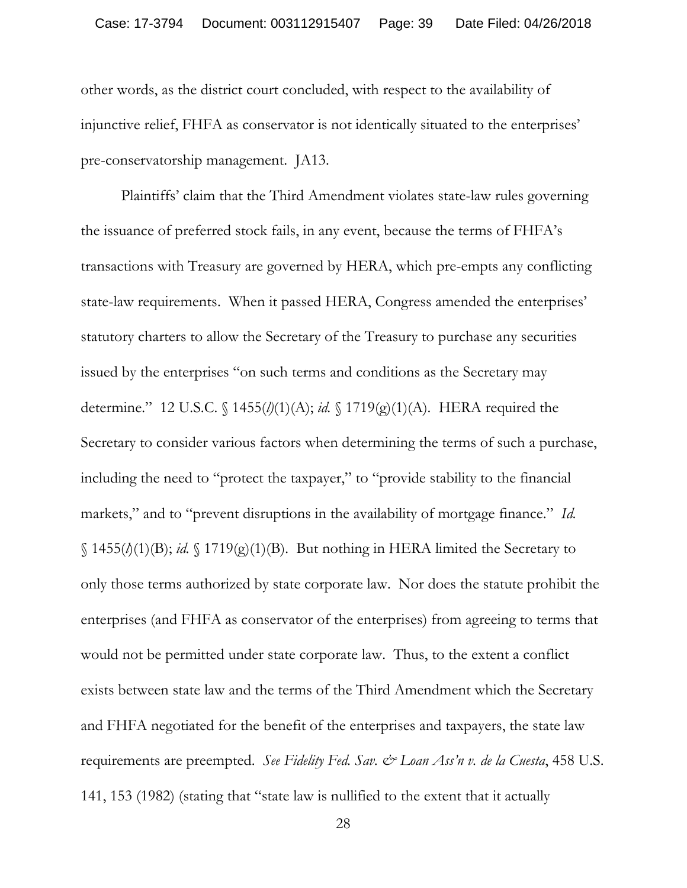other words, as the district court concluded, with respect to the availability of injunctive relief, FHFA as conservator is not identically situated to the enterprises' pre-conservatorship management. JA13.

Plaintiffs' claim that the Third Amendment violates state-law rules governing the issuance of preferred stock fails, in any event, because the terms of FHFA's transactions with Treasury are governed by HERA, which pre-empts any conflicting state-law requirements. When it passed HERA, Congress amended the enterprises' statutory charters to allow the Secretary of the Treasury to purchase any securities issued by the enterprises "on such terms and conditions as the Secretary may determine." 12 U.S.C. § 1455(*l)*(1)(A); *id.* § 1719(g)(1)(A). HERA required the Secretary to consider various factors when determining the terms of such a purchase, including the need to "protect the taxpayer," to "provide stability to the financial markets," and to "prevent disruptions in the availability of mortgage finance." *Id.*  $\{(1455(\lambda(1)(B)); id. \{(1719(g)(1)(B))\})\}$ . But nothing in HERA limited the Secretary to only those terms authorized by state corporate law. Nor does the statute prohibit the enterprises (and FHFA as conservator of the enterprises) from agreeing to terms that would not be permitted under state corporate law. Thus, to the extent a conflict exists between state law and the terms of the Third Amendment which the Secretary and FHFA negotiated for the benefit of the enterprises and taxpayers, the state law requirements are preempted. *See Fidelity Fed. Sav. & Loan Ass'n v. de la Cuesta*, 458 U.S. 141, 153 (1982) (stating that "state law is nullified to the extent that it actually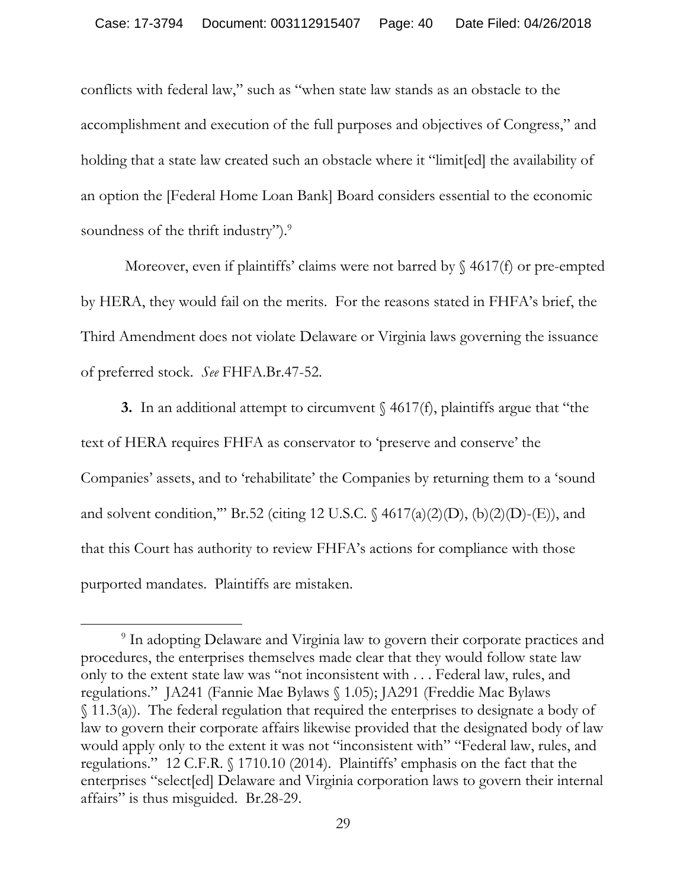conflicts with federal law," such as "when state law stands as an obstacle to the accomplishment and execution of the full purposes and objectives of Congress," and holding that a state law created such an obstacle where it "limit[ed] the availability of an option the [Federal Home Loan Bank] Board considers essential to the economic soundness of the thrift industry").<sup>9</sup>

Moreover, even if plaintiffs' claims were not barred by  $\S$  4617(f) or pre-empted by HERA, they would fail on the merits. For the reasons stated in FHFA's brief, the Third Amendment does not violate Delaware or Virginia laws governing the issuance of preferred stock. *See* FHFA.Br.47-52.

**3.** In an additional attempt to circumvent § 4617(f), plaintiffs argue that "the text of HERA requires FHFA as conservator to 'preserve and conserve' the Companies' assets, and to 'rehabilitate' the Companies by returning them to a 'sound and solvent condition," Br.52 (citing 12 U.S.C.  $\frac{64617(a)(2)(D)}{6}(b)(2)(D)$ -(E)), and that this Court has authority to review FHFA's actions for compliance with those purported mandates. Plaintiffs are mistaken.

 $\overline{a}$ 

<sup>9</sup> In adopting Delaware and Virginia law to govern their corporate practices and procedures, the enterprises themselves made clear that they would follow state law only to the extent state law was "not inconsistent with . . . Federal law, rules, and regulations." JA241 (Fannie Mae Bylaws § 1.05); JA291 (Freddie Mac Bylaws § 11.3(a)). The federal regulation that required the enterprises to designate a body of law to govern their corporate affairs likewise provided that the designated body of law would apply only to the extent it was not "inconsistent with" "Federal law, rules, and regulations." 12 C.F.R. § 1710.10 (2014). Plaintiffs' emphasis on the fact that the enterprises "select[ed] Delaware and Virginia corporation laws to govern their internal affairs" is thus misguided. Br.28-29.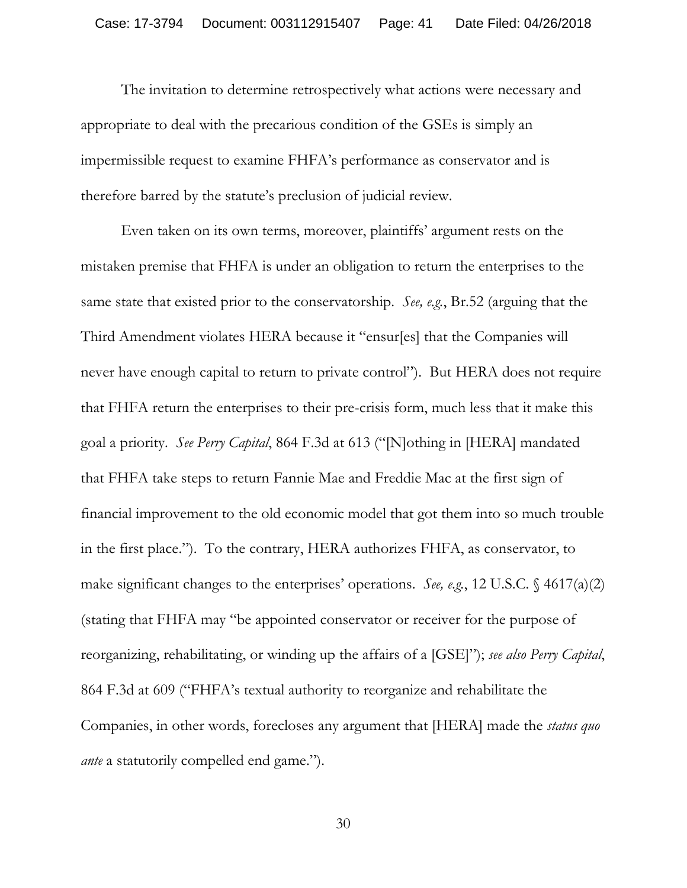The invitation to determine retrospectively what actions were necessary and appropriate to deal with the precarious condition of the GSEs is simply an impermissible request to examine FHFA's performance as conservator and is therefore barred by the statute's preclusion of judicial review.

Even taken on its own terms, moreover, plaintiffs' argument rests on the mistaken premise that FHFA is under an obligation to return the enterprises to the same state that existed prior to the conservatorship. *See, e.g.*, Br.52 (arguing that the Third Amendment violates HERA because it "ensur[es] that the Companies will never have enough capital to return to private control"). But HERA does not require that FHFA return the enterprises to their pre-crisis form, much less that it make this goal a priority. *See Perry Capital*, 864 F.3d at 613 ("[N]othing in [HERA] mandated that FHFA take steps to return Fannie Mae and Freddie Mac at the first sign of financial improvement to the old economic model that got them into so much trouble in the first place."). To the contrary, HERA authorizes FHFA, as conservator, to make significant changes to the enterprises' operations. *See, e.g.*, 12 U.S.C. § 4617(a)(2) (stating that FHFA may "be appointed conservator or receiver for the purpose of reorganizing, rehabilitating, or winding up the affairs of a [GSE]"); *see also Perry Capital*, 864 F.3d at 609 ("FHFA's textual authority to reorganize and rehabilitate the Companies, in other words, forecloses any argument that [HERA] made the *status quo ante* a statutorily compelled end game.").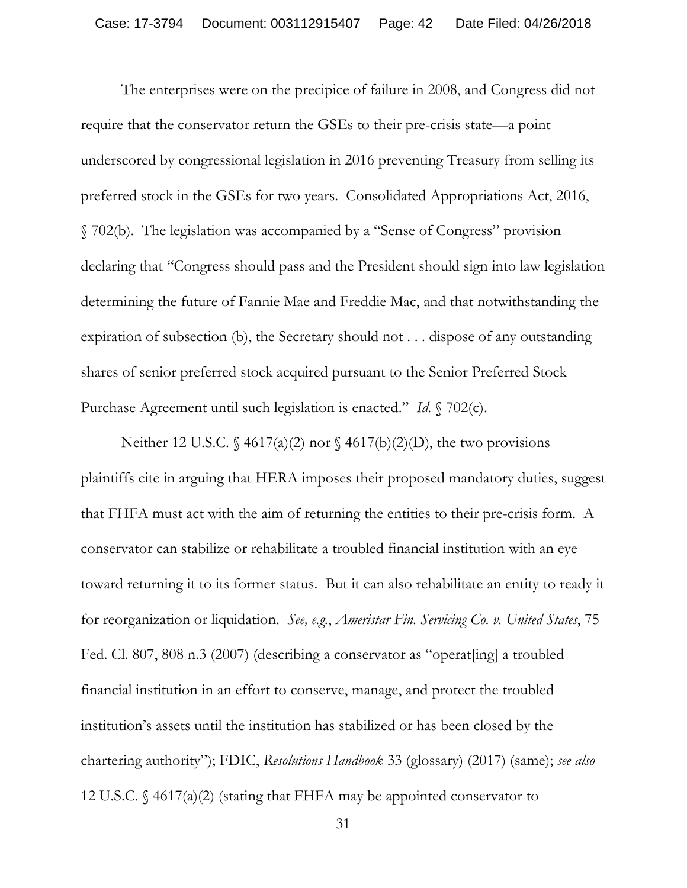The enterprises were on the precipice of failure in 2008, and Congress did not require that the conservator return the GSEs to their pre-crisis state—a point underscored by congressional legislation in 2016 preventing Treasury from selling its preferred stock in the GSEs for two years. Consolidated Appropriations Act, 2016, § 702(b). The legislation was accompanied by a "Sense of Congress" provision declaring that "Congress should pass and the President should sign into law legislation determining the future of Fannie Mae and Freddie Mac, and that notwithstanding the expiration of subsection (b), the Secretary should not . . . dispose of any outstanding shares of senior preferred stock acquired pursuant to the Senior Preferred Stock Purchase Agreement until such legislation is enacted." *Id.* § 702(c).

Neither 12 U.S.C.  $\oint$  4617(a)(2) nor  $\oint$  4617(b)(2)(D), the two provisions plaintiffs cite in arguing that HERA imposes their proposed mandatory duties, suggest that FHFA must act with the aim of returning the entities to their pre-crisis form. A conservator can stabilize or rehabilitate a troubled financial institution with an eye toward returning it to its former status. But it can also rehabilitate an entity to ready it for reorganization or liquidation. *See, e.g.*, *Ameristar Fin. Servicing Co. v. United States*, 75 Fed. Cl. 807, 808 n.3 (2007) (describing a conservator as "operat[ing] a troubled financial institution in an effort to conserve, manage, and protect the troubled institution's assets until the institution has stabilized or has been closed by the chartering authority"); FDIC, *Resolutions Handbook* 33 (glossary) (2017) (same); *see also*  12 U.S.C. § 4617(a)(2) (stating that FHFA may be appointed conservator to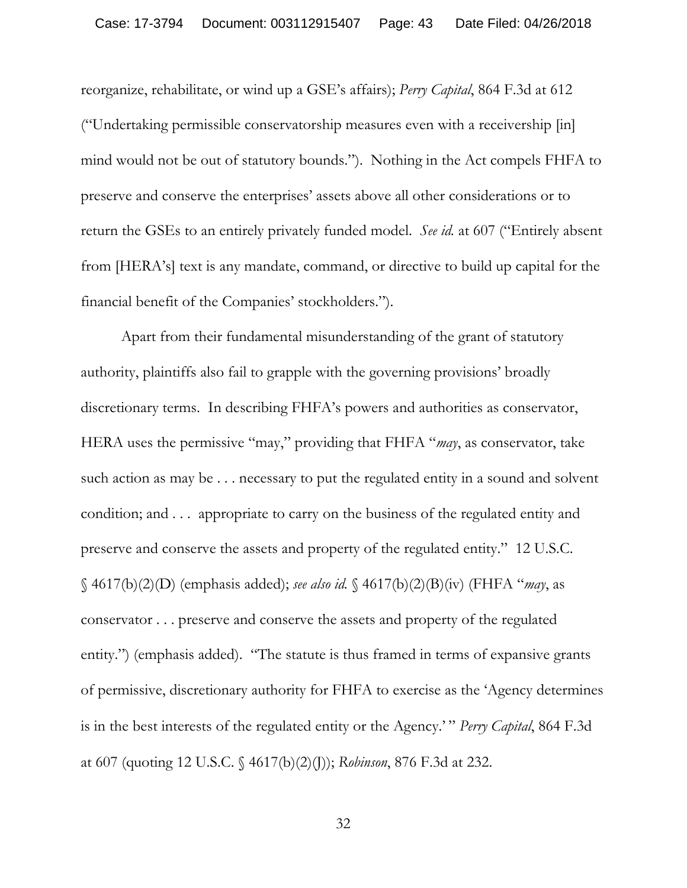reorganize, rehabilitate, or wind up a GSE's affairs); *Perry Capital*, 864 F.3d at 612 ("Undertaking permissible conservatorship measures even with a receivership [in] mind would not be out of statutory bounds."). Nothing in the Act compels FHFA to preserve and conserve the enterprises' assets above all other considerations or to return the GSEs to an entirely privately funded model. *See id.* at 607 ("Entirely absent from [HERA's] text is any mandate, command, or directive to build up capital for the financial benefit of the Companies' stockholders.").

Apart from their fundamental misunderstanding of the grant of statutory authority, plaintiffs also fail to grapple with the governing provisions' broadly discretionary terms. In describing FHFA's powers and authorities as conservator, HERA uses the permissive "may," providing that FHFA "*may*, as conservator, take such action as may be . . . necessary to put the regulated entity in a sound and solvent condition; and . . . appropriate to carry on the business of the regulated entity and preserve and conserve the assets and property of the regulated entity." 12 U.S.C. § 4617(b)(2)(D) (emphasis added); *see also id.* § 4617(b)(2)(B)(iv) (FHFA "*may*, as conservator . . . preserve and conserve the assets and property of the regulated entity.") (emphasis added). "The statute is thus framed in terms of expansive grants of permissive, discretionary authority for FHFA to exercise as the 'Agency determines is in the best interests of the regulated entity or the Agency.' " *Perry Capital*, 864 F.3d at 607 (quoting 12 U.S.C. § 4617(b)(2)(J)); *Robinson*, 876 F.3d at 232.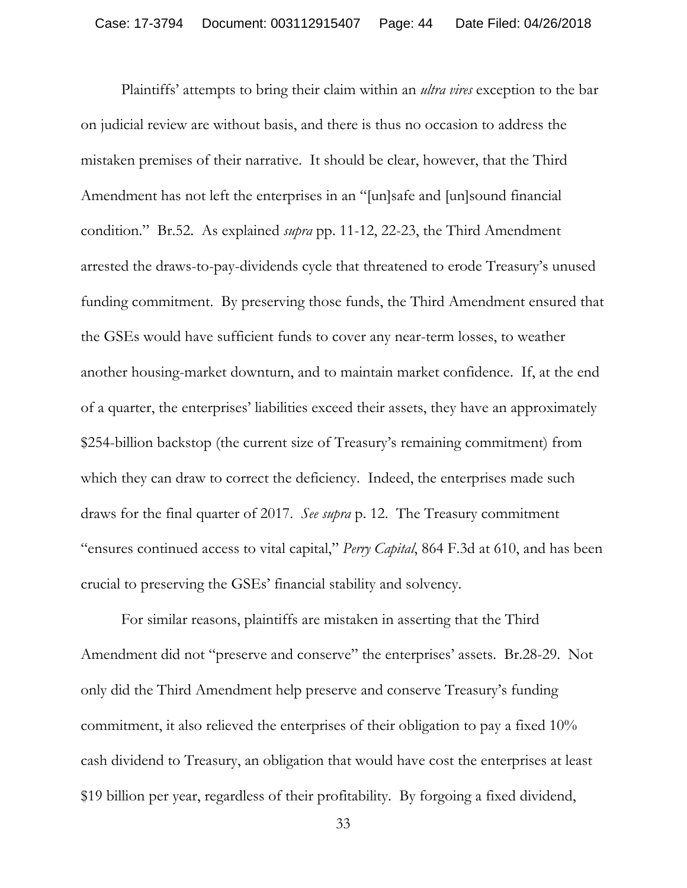Plaintiffs' attempts to bring their claim within an *ultra vires* exception to the bar on judicial review are without basis, and there is thus no occasion to address the mistaken premises of their narrative. It should be clear, however, that the Third Amendment has not left the enterprises in an "[un]safe and [un]sound financial condition." Br.52. As explained *supra* pp. 11-12, 22-23, the Third Amendment arrested the draws-to-pay-dividends cycle that threatened to erode Treasury's unused funding commitment. By preserving those funds, the Third Amendment ensured that the GSEs would have sufficient funds to cover any near-term losses, to weather another housing-market downturn, and to maintain market confidence. If, at the end of a quarter, the enterprises' liabilities exceed their assets, they have an approximately \$254-billion backstop (the current size of Treasury's remaining commitment) from which they can draw to correct the deficiency. Indeed, the enterprises made such draws for the final quarter of 2017. *See supra* p. 12. The Treasury commitment "ensures continued access to vital capital," *Perry Capital*, 864 F.3d at 610, and has been crucial to preserving the GSEs' financial stability and solvency.

For similar reasons, plaintiffs are mistaken in asserting that the Third Amendment did not "preserve and conserve" the enterprises' assets. Br.28-29. Not only did the Third Amendment help preserve and conserve Treasury's funding commitment, it also relieved the enterprises of their obligation to pay a fixed 10% cash dividend to Treasury, an obligation that would have cost the enterprises at least \$19 billion per year, regardless of their profitability. By forgoing a fixed dividend,

<sup>33</sup>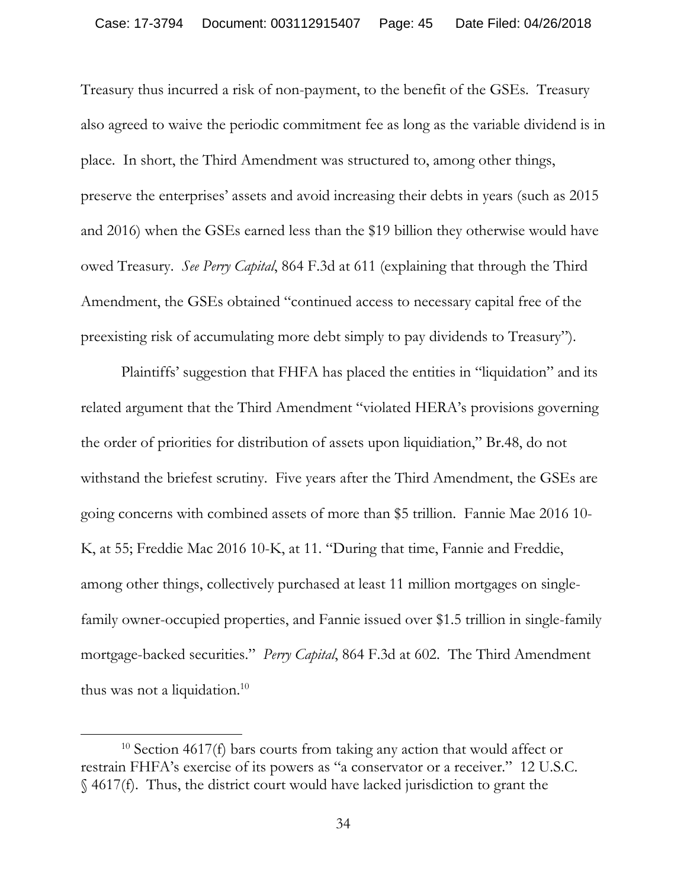Treasury thus incurred a risk of non-payment, to the benefit of the GSEs. Treasury also agreed to waive the periodic commitment fee as long as the variable dividend is in place. In short, the Third Amendment was structured to, among other things, preserve the enterprises' assets and avoid increasing their debts in years (such as 2015 and 2016) when the GSEs earned less than the \$19 billion they otherwise would have owed Treasury. *See Perry Capital*, 864 F.3d at 611 (explaining that through the Third Amendment, the GSEs obtained "continued access to necessary capital free of the preexisting risk of accumulating more debt simply to pay dividends to Treasury").

Plaintiffs' suggestion that FHFA has placed the entities in "liquidation" and its related argument that the Third Amendment "violated HERA's provisions governing the order of priorities for distribution of assets upon liquidiation," Br.48, do not withstand the briefest scrutiny. Five years after the Third Amendment, the GSEs are going concerns with combined assets of more than \$5 trillion. Fannie Mae 2016 10- K, at 55; Freddie Mac 2016 10-K, at 11. "During that time, Fannie and Freddie, among other things, collectively purchased at least 11 million mortgages on singlefamily owner-occupied properties, and Fannie issued over \$1.5 trillion in single-family mortgage-backed securities." *Perry Capital*, 864 F.3d at 602. The Third Amendment thus was not a liquidation.<sup>10</sup>

 $\overline{a}$ 

<sup>&</sup>lt;sup>10</sup> Section 4617(f) bars courts from taking any action that would affect or restrain FHFA's exercise of its powers as "a conservator or a receiver." 12 U.S.C. § 4617(f). Thus, the district court would have lacked jurisdiction to grant the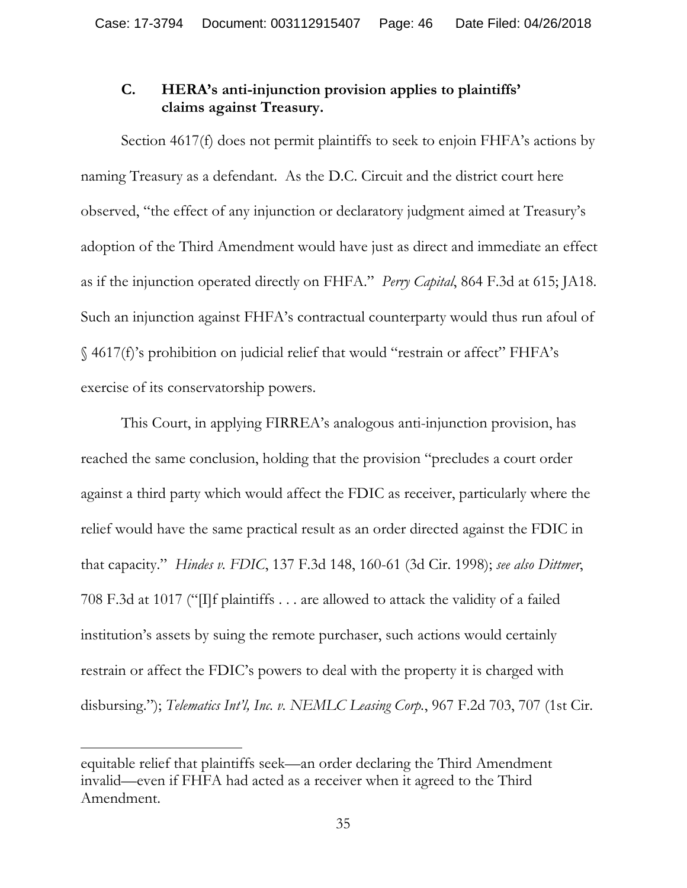# **C. HERA's anti-injunction provision applies to plaintiffs' claims against Treasury.**

Section 4617(f) does not permit plaintiffs to seek to enjoin FHFA's actions by naming Treasury as a defendant. As the D.C. Circuit and the district court here observed, "the effect of any injunction or declaratory judgment aimed at Treasury's adoption of the Third Amendment would have just as direct and immediate an effect as if the injunction operated directly on FHFA." *Perry Capital*, 864 F.3d at 615; JA18. Such an injunction against FHFA's contractual counterparty would thus run afoul of § 4617(f)'s prohibition on judicial relief that would "restrain or affect" FHFA's exercise of its conservatorship powers.

This Court, in applying FIRREA's analogous anti-injunction provision, has reached the same conclusion, holding that the provision "precludes a court order against a third party which would affect the FDIC as receiver, particularly where the relief would have the same practical result as an order directed against the FDIC in that capacity." *Hindes v. FDIC*, 137 F.3d 148, 160-61 (3d Cir. 1998); *see also Dittmer*, 708 F.3d at 1017 ("[I]f plaintiffs . . . are allowed to attack the validity of a failed institution's assets by suing the remote purchaser, such actions would certainly restrain or affect the FDIC's powers to deal with the property it is charged with disbursing."); *Telematics Int'l, Inc. v. NEMLC Leasing Corp.*, 967 F.2d 703, 707 (1st Cir.

 $\overline{a}$ 

equitable relief that plaintiffs seek—an order declaring the Third Amendment invalid—even if FHFA had acted as a receiver when it agreed to the Third Amendment.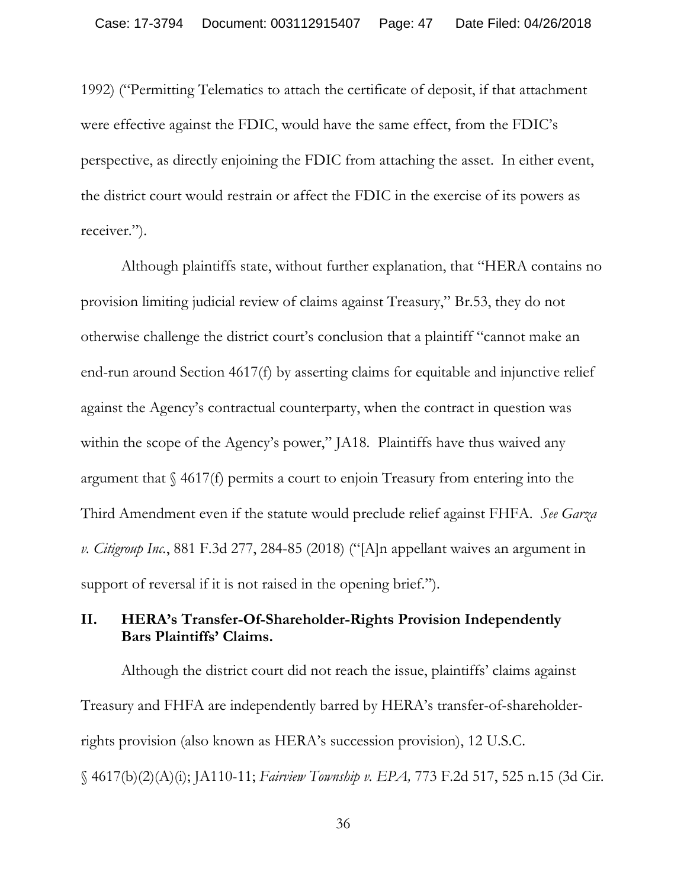1992) ("Permitting Telematics to attach the certificate of deposit, if that attachment were effective against the FDIC, would have the same effect, from the FDIC's perspective, as directly enjoining the FDIC from attaching the asset. In either event, the district court would restrain or affect the FDIC in the exercise of its powers as receiver.").

Although plaintiffs state, without further explanation, that "HERA contains no provision limiting judicial review of claims against Treasury," Br.53, they do not otherwise challenge the district court's conclusion that a plaintiff "cannot make an end-run around Section 4617(f) by asserting claims for equitable and injunctive relief against the Agency's contractual counterparty, when the contract in question was within the scope of the Agency's power," JA18. Plaintiffs have thus waived any argument that § 4617(f) permits a court to enjoin Treasury from entering into the Third Amendment even if the statute would preclude relief against FHFA. *See Garza v. Citigroup Inc.*, 881 F.3d 277, 284-85 (2018) ("[A]n appellant waives an argument in support of reversal if it is not raised in the opening brief.").

## **II. HERA's Transfer-Of-Shareholder-Rights Provision Independently Bars Plaintiffs' Claims.**

Although the district court did not reach the issue, plaintiffs' claims against Treasury and FHFA are independently barred by HERA's transfer-of-shareholderrights provision (also known as HERA's succession provision), 12 U.S.C. § 4617(b)(2)(A)(i); JA110-11; *Fairview Township v. EPA,* 773 F.2d 517, 525 n.15 (3d Cir.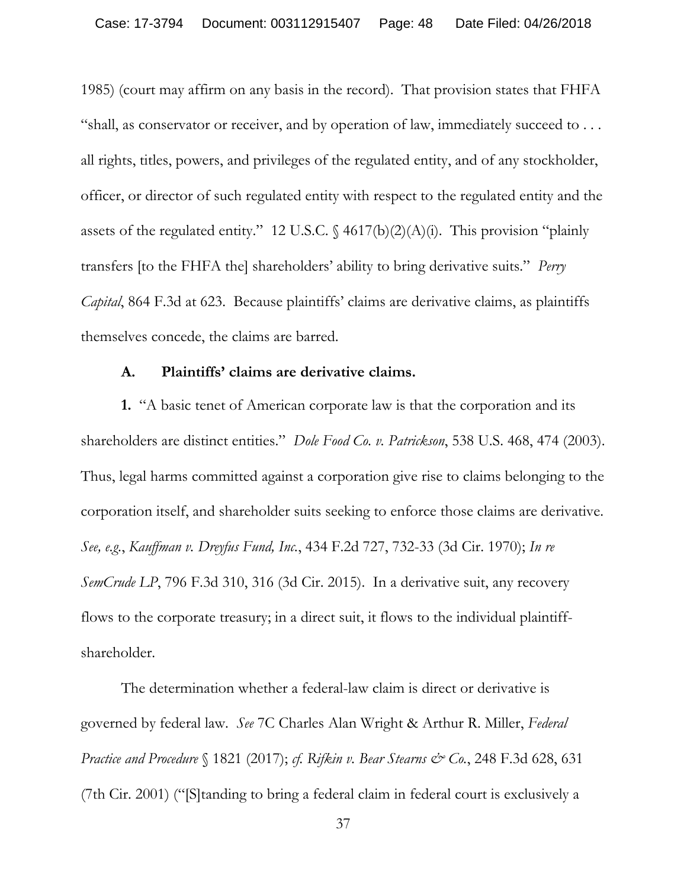1985) (court may affirm on any basis in the record). That provision states that FHFA "shall, as conservator or receiver, and by operation of law, immediately succeed to . . . all rights, titles, powers, and privileges of the regulated entity, and of any stockholder, officer, or director of such regulated entity with respect to the regulated entity and the assets of the regulated entity." 12 U.S.C. § 4617(b)(2)(A)(i).This provision "plainly transfers [to the FHFA the] shareholders' ability to bring derivative suits." *Perry Capital*, 864 F.3d at 623. Because plaintiffs' claims are derivative claims, as plaintiffs themselves concede, the claims are barred.

### **A. Plaintiffs' claims are derivative claims.**

**1.** "A basic tenet of American corporate law is that the corporation and its shareholders are distinct entities." *Dole Food Co. v. Patrickson*, 538 U.S. 468, 474 (2003). Thus, legal harms committed against a corporation give rise to claims belonging to the corporation itself, and shareholder suits seeking to enforce those claims are derivative. *See, e.g.*, *Kauffman v. Dreyfus Fund, Inc.*, 434 F.2d 727, 732-33 (3d Cir. 1970); *In re SemCrude LP*, 796 F.3d 310, 316 (3d Cir. 2015). In a derivative suit, any recovery flows to the corporate treasury; in a direct suit, it flows to the individual plaintiffshareholder.

The determination whether a federal-law claim is direct or derivative is governed by federal law. *See* 7C Charles Alan Wright & Arthur R. Miller, *Federal Practice and Procedure* § 1821 (2017); *cf. Rifkin v. Bear Stearns & Co.*, 248 F.3d 628, 631 (7th Cir. 2001) ("[S]tanding to bring a federal claim in federal court is exclusively a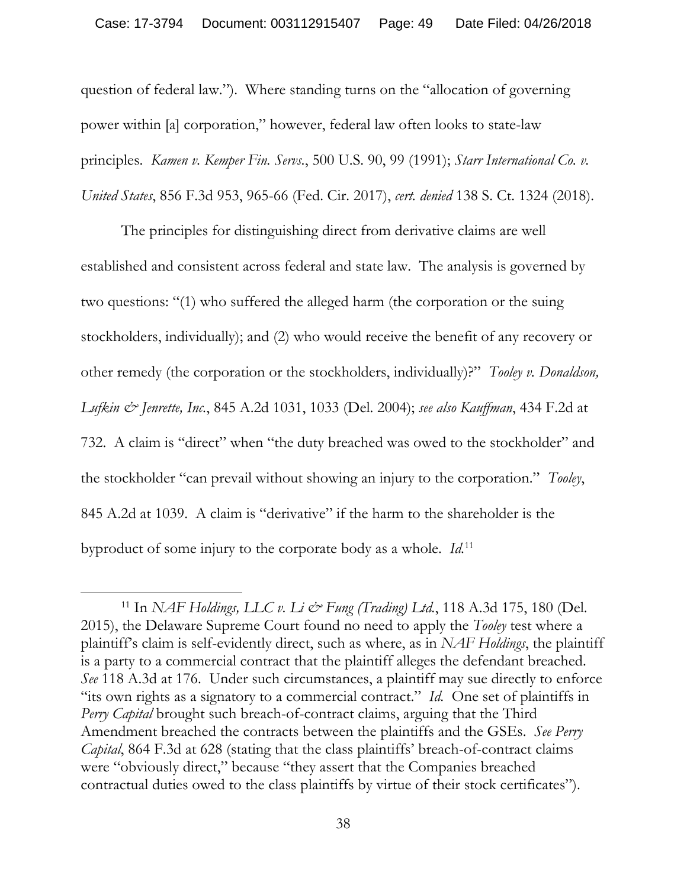question of federal law."). Where standing turns on the "allocation of governing power within [a] corporation," however, federal law often looks to state-law principles. *Kamen v. Kemper Fin. Servs.*, 500 U.S. 90, 99 (1991); *Starr International Co. v. United States*, 856 F.3d 953, 965-66 (Fed. Cir. 2017), *cert. denied* 138 S. Ct. 1324 (2018).

The principles for distinguishing direct from derivative claims are well established and consistent across federal and state law. The analysis is governed by two questions: "(1) who suffered the alleged harm (the corporation or the suing stockholders, individually); and (2) who would receive the benefit of any recovery or other remedy (the corporation or the stockholders, individually)?" *Tooley v. Donaldson, Lufkin & Jenrette, Inc.*, 845 A.2d 1031, 1033 (Del. 2004); *see also Kauffman*, 434 F.2d at 732. A claim is "direct" when "the duty breached was owed to the stockholder" and the stockholder "can prevail without showing an injury to the corporation." *Tooley*, 845 A.2d at 1039. A claim is "derivative" if the harm to the shareholder is the byproduct of some injury to the corporate body as a whole. *Id.*<sup>11</sup>

 $\overline{a}$ 

<sup>&</sup>lt;sup>11</sup> In *NAF Holdings, LLC v. Li & Fung (Trading) Ltd.*, 118 A.3d 175, 180 (Del. 2015), the Delaware Supreme Court found no need to apply the *Tooley* test where a plaintiff's claim is self-evidently direct, such as where, as in *NAF Holdings*, the plaintiff is a party to a commercial contract that the plaintiff alleges the defendant breached. *See* 118 A.3d at 176. Under such circumstances, a plaintiff may sue directly to enforce "its own rights as a signatory to a commercial contract." *Id.* One set of plaintiffs in *Perry Capital* brought such breach-of-contract claims, arguing that the Third Amendment breached the contracts between the plaintiffs and the GSEs. *See Perry Capital*, 864 F.3d at 628 (stating that the class plaintiffs' breach-of-contract claims were "obviously direct," because "they assert that the Companies breached contractual duties owed to the class plaintiffs by virtue of their stock certificates").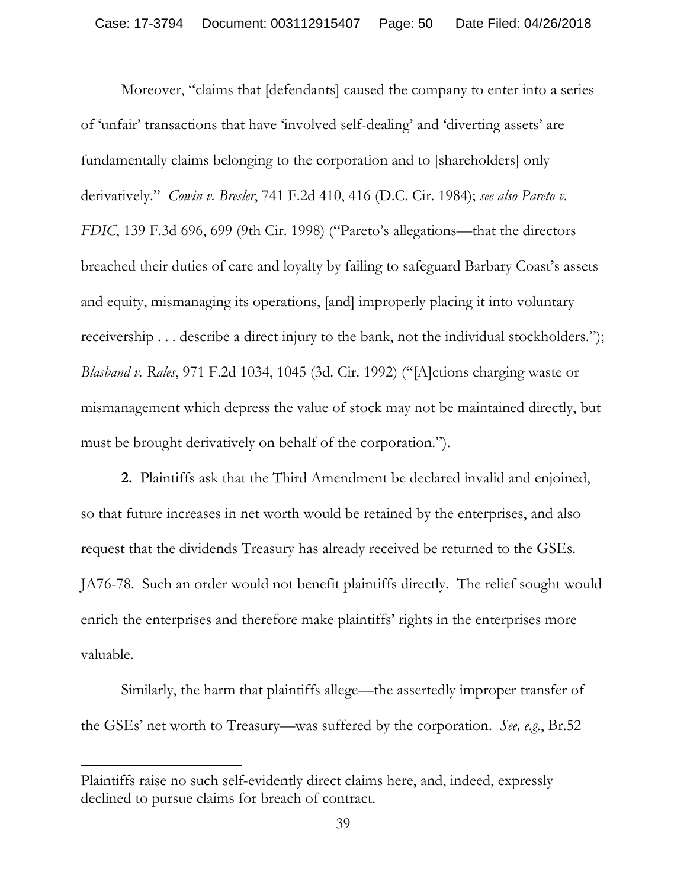Moreover, "claims that [defendants] caused the company to enter into a series of 'unfair' transactions that have 'involved self-dealing' and 'diverting assets' are fundamentally claims belonging to the corporation and to [shareholders] only derivatively." *Cowin v. Bresler*, 741 F.2d 410, 416 (D.C. Cir. 1984); *see also Pareto v. FDIC*, 139 F.3d 696, 699 (9th Cir. 1998) ("Pareto's allegations—that the directors breached their duties of care and loyalty by failing to safeguard Barbary Coast's assets and equity, mismanaging its operations, [and] improperly placing it into voluntary receivership . . . describe a direct injury to the bank, not the individual stockholders."); *Blasband v. Rales*, 971 F.2d 1034, 1045 (3d. Cir. 1992) ("[A]ctions charging waste or mismanagement which depress the value of stock may not be maintained directly, but must be brought derivatively on behalf of the corporation.").

**2.** Plaintiffs ask that the Third Amendment be declared invalid and enjoined, so that future increases in net worth would be retained by the enterprises, and also request that the dividends Treasury has already received be returned to the GSEs. JA76-78. Such an order would not benefit plaintiffs directly. The relief sought would enrich the enterprises and therefore make plaintiffs' rights in the enterprises more valuable.

Similarly, the harm that plaintiffs allege—the assertedly improper transfer of the GSEs' net worth to Treasury—was suffered by the corporation. *See, e.g.*, Br.52

 $\overline{a}$ 

Plaintiffs raise no such self-evidently direct claims here, and, indeed, expressly declined to pursue claims for breach of contract.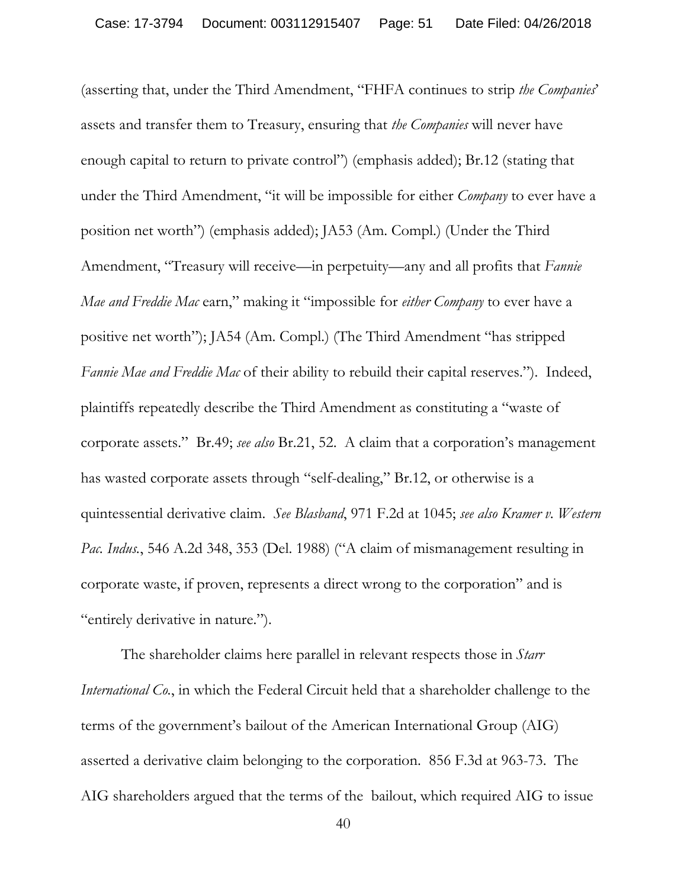(asserting that, under the Third Amendment, "FHFA continues to strip *the Companies*' assets and transfer them to Treasury, ensuring that *the Companies* will never have enough capital to return to private control") (emphasis added); Br.12 (stating that under the Third Amendment, "it will be impossible for either *Company* to ever have a position net worth") (emphasis added); JA53 (Am. Compl.) (Under the Third Amendment, "Treasury will receive—in perpetuity—any and all profits that *Fannie Mae and Freddie Mac* earn," making it "impossible for *either Company* to ever have a positive net worth"); JA54 (Am. Compl.) (The Third Amendment "has stripped *Fannie Mae and Freddie Mac* of their ability to rebuild their capital reserves."). Indeed, plaintiffs repeatedly describe the Third Amendment as constituting a "waste of corporate assets." Br.49; *see also* Br.21, 52. A claim that a corporation's management has wasted corporate assets through "self-dealing," Br.12, or otherwise is a quintessential derivative claim. *See Blasband*, 971 F.2d at 1045; *see also Kramer v. Western Pac. Indus.*, 546 A.2d 348, 353 (Del. 1988) ("A claim of mismanagement resulting in corporate waste, if proven, represents a direct wrong to the corporation" and is "entirely derivative in nature.").

The shareholder claims here parallel in relevant respects those in *Starr International Co.*, in which the Federal Circuit held that a shareholder challenge to the terms of the government's bailout of the American International Group (AIG) asserted a derivative claim belonging to the corporation. 856 F.3d at 963-73. The AIG shareholders argued that the terms of the bailout, which required AIG to issue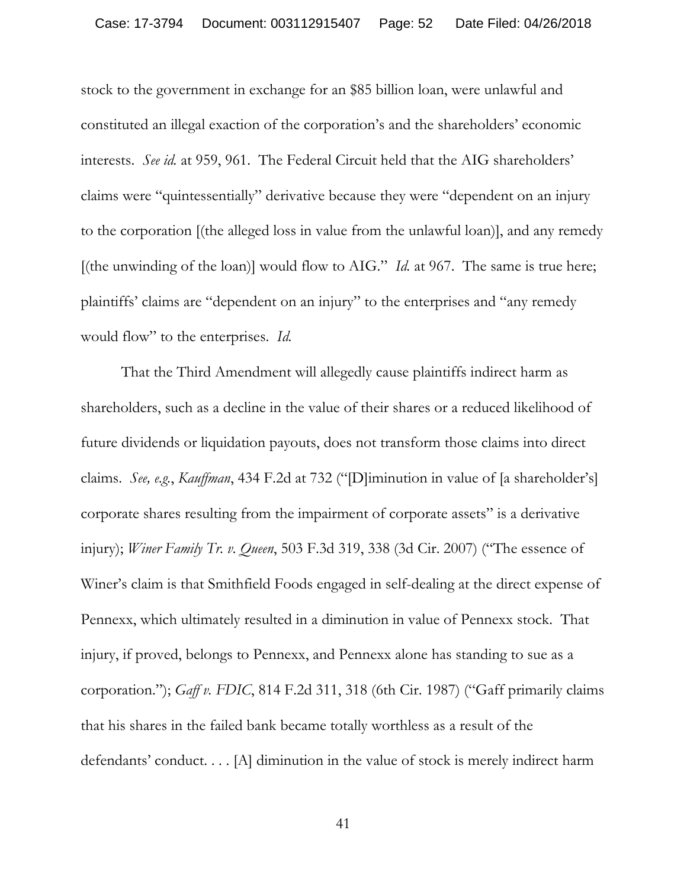stock to the government in exchange for an \$85 billion loan, were unlawful and constituted an illegal exaction of the corporation's and the shareholders' economic interests. *See id.* at 959, 961. The Federal Circuit held that the AIG shareholders' claims were "quintessentially" derivative because they were "dependent on an injury to the corporation [(the alleged loss in value from the unlawful loan)], and any remedy [(the unwinding of the loan)] would flow to AIG." *Id.* at 967. The same is true here; plaintiffs' claims are "dependent on an injury" to the enterprises and "any remedy would flow" to the enterprises. *Id.*

That the Third Amendment will allegedly cause plaintiffs indirect harm as shareholders, such as a decline in the value of their shares or a reduced likelihood of future dividends or liquidation payouts, does not transform those claims into direct claims. *See, e.g.*, *Kauffman*, 434 F.2d at 732 ("[D]iminution in value of [a shareholder's] corporate shares resulting from the impairment of corporate assets" is a derivative injury); *Winer Family Tr. v. Queen*, 503 F.3d 319, 338 (3d Cir. 2007) ("The essence of Winer's claim is that Smithfield Foods engaged in self-dealing at the direct expense of Pennexx, which ultimately resulted in a diminution in value of Pennexx stock. That injury, if proved, belongs to Pennexx, and Pennexx alone has standing to sue as a corporation."); *Gaff v. FDIC*, 814 F.2d 311, 318 (6th Cir. 1987) ("Gaff primarily claims that his shares in the failed bank became totally worthless as a result of the defendants' conduct. . . . [A] diminution in the value of stock is merely indirect harm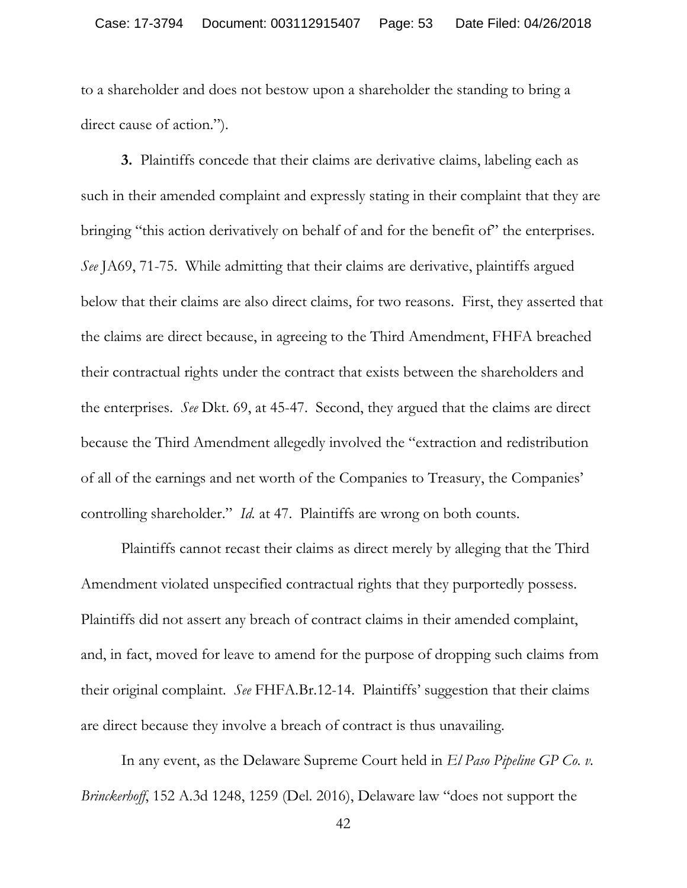to a shareholder and does not bestow upon a shareholder the standing to bring a direct cause of action.").

**3.** Plaintiffs concede that their claims are derivative claims, labeling each as such in their amended complaint and expressly stating in their complaint that they are bringing "this action derivatively on behalf of and for the benefit of" the enterprises. *See* JA69, 71-75. While admitting that their claims are derivative, plaintiffs argued below that their claims are also direct claims, for two reasons. First, they asserted that the claims are direct because, in agreeing to the Third Amendment, FHFA breached their contractual rights under the contract that exists between the shareholders and the enterprises. *See* Dkt. 69, at 45-47. Second, they argued that the claims are direct because the Third Amendment allegedly involved the "extraction and redistribution of all of the earnings and net worth of the Companies to Treasury, the Companies' controlling shareholder." *Id.* at 47. Plaintiffs are wrong on both counts.

Plaintiffs cannot recast their claims as direct merely by alleging that the Third Amendment violated unspecified contractual rights that they purportedly possess. Plaintiffs did not assert any breach of contract claims in their amended complaint, and, in fact, moved for leave to amend for the purpose of dropping such claims from their original complaint. *See* FHFA.Br.12-14. Plaintiffs' suggestion that their claims are direct because they involve a breach of contract is thus unavailing.

In any event, as the Delaware Supreme Court held in *El Paso Pipeline GP Co. v. Brinckerhoff*, 152 A.3d 1248, 1259 (Del. 2016), Delaware law "does not support the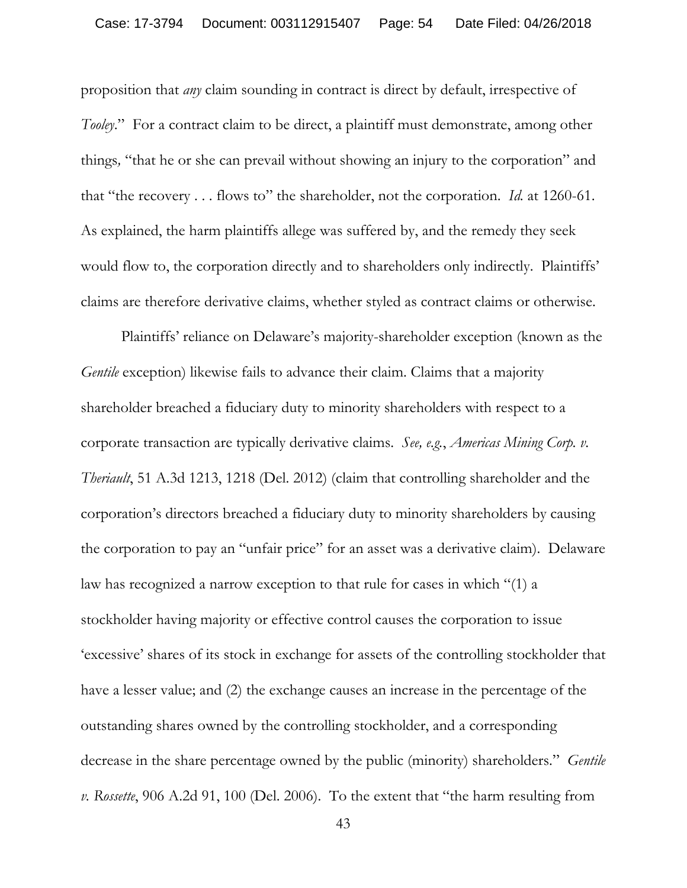proposition that *any* claim sounding in contract is direct by default, irrespective of *Tooley*." For a contract claim to be direct, a plaintiff must demonstrate, among other things*,* "that he or she can prevail without showing an injury to the corporation" and that "the recovery . . . flows to" the shareholder, not the corporation. *Id.* at 1260-61. As explained, the harm plaintiffs allege was suffered by, and the remedy they seek would flow to, the corporation directly and to shareholders only indirectly. Plaintiffs' claims are therefore derivative claims, whether styled as contract claims or otherwise.

Plaintiffs' reliance on Delaware's majority-shareholder exception (known as the *Gentile* exception) likewise fails to advance their claim. Claims that a majority shareholder breached a fiduciary duty to minority shareholders with respect to a corporate transaction are typically derivative claims. *See, e.g.*, *Americas Mining Corp. v. Theriault*, 51 A.3d 1213, 1218 (Del. 2012) (claim that controlling shareholder and the corporation's directors breached a fiduciary duty to minority shareholders by causing the corporation to pay an "unfair price" for an asset was a derivative claim). Delaware law has recognized a narrow exception to that rule for cases in which "(1) a stockholder having majority or effective control causes the corporation to issue 'excessive' shares of its stock in exchange for assets of the controlling stockholder that have a lesser value; and (2) the exchange causes an increase in the percentage of the outstanding shares owned by the controlling stockholder, and a corresponding decrease in the share percentage owned by the public (minority) shareholders." *Gentile v. Rossette*, 906 A.2d 91, 100 (Del. 2006). To the extent that "the harm resulting from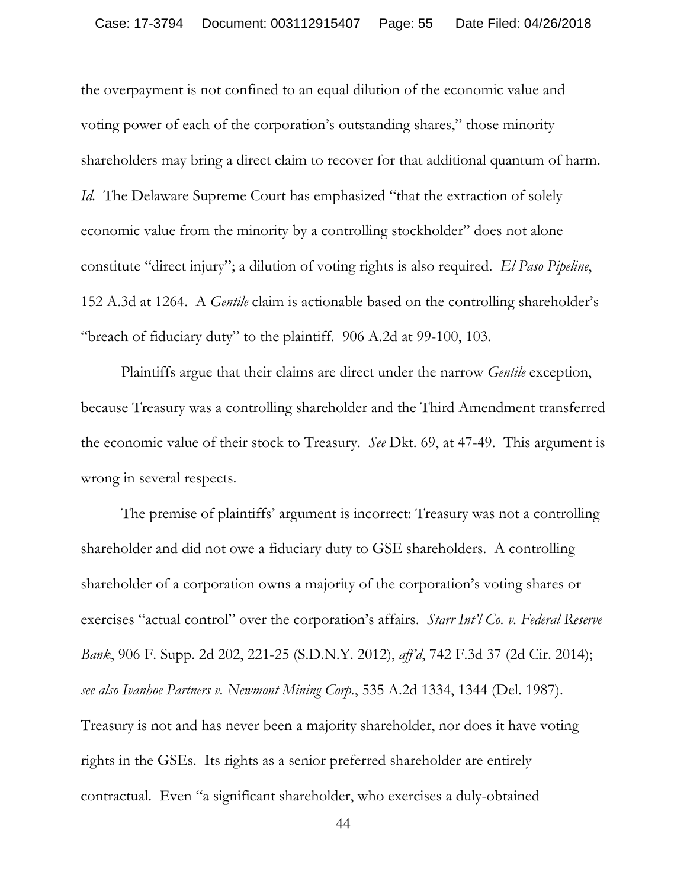the overpayment is not confined to an equal dilution of the economic value and voting power of each of the corporation's outstanding shares," those minority shareholders may bring a direct claim to recover for that additional quantum of harm. *Id.* The Delaware Supreme Court has emphasized "that the extraction of solely economic value from the minority by a controlling stockholder" does not alone constitute "direct injury"; a dilution of voting rights is also required. *El Paso Pipeline*, 152 A.3d at 1264. A *Gentile* claim is actionable based on the controlling shareholder's "breach of fiduciary duty" to the plaintiff. 906 A.2d at 99-100, 103.

Plaintiffs argue that their claims are direct under the narrow *Gentile* exception, because Treasury was a controlling shareholder and the Third Amendment transferred the economic value of their stock to Treasury. *See* Dkt. 69, at 47-49. This argument is wrong in several respects.

The premise of plaintiffs' argument is incorrect: Treasury was not a controlling shareholder and did not owe a fiduciary duty to GSE shareholders. A controlling shareholder of a corporation owns a majority of the corporation's voting shares or exercises "actual control" over the corporation's affairs. *Starr Int'l Co. v. Federal Reserve Bank*, 906 F. Supp. 2d 202, 221-25 (S.D.N.Y. 2012), *aff'd*, 742 F.3d 37 (2d Cir. 2014); *see also Ivanhoe Partners v. Newmont Mining Corp.*, 535 A.2d 1334, 1344 (Del. 1987). Treasury is not and has never been a majority shareholder, nor does it have voting rights in the GSEs. Its rights as a senior preferred shareholder are entirely contractual. Even "a significant shareholder, who exercises a duly-obtained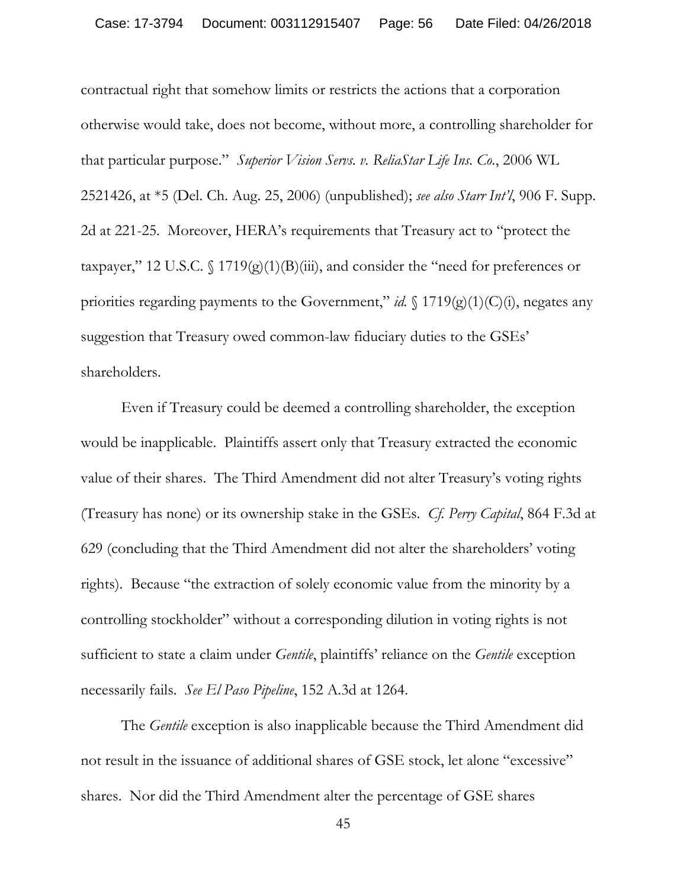contractual right that somehow limits or restricts the actions that a corporation otherwise would take, does not become, without more, a controlling shareholder for that particular purpose." *Superior Vision Servs. v. ReliaStar Life Ins. Co.*, 2006 WL 2521426, at \*5 (Del. Ch. Aug. 25, 2006) (unpublished); *see also Starr Int'l*, 906 F. Supp. 2d at 221-25. Moreover, HERA's requirements that Treasury act to "protect the taxpayer," 12 U.S.C.  $\{(1719)(g)(1)(B)(iii)\}$ , and consider the "need for preferences or priorities regarding payments to the Government," *id.*  $\int$  1719(g)(1)(C)(i), negates any suggestion that Treasury owed common-law fiduciary duties to the GSEs' shareholders.

Even if Treasury could be deemed a controlling shareholder, the exception would be inapplicable. Plaintiffs assert only that Treasury extracted the economic value of their shares. The Third Amendment did not alter Treasury's voting rights (Treasury has none) or its ownership stake in the GSEs. *Cf. Perry Capital*, 864 F.3d at 629 (concluding that the Third Amendment did not alter the shareholders' voting rights). Because "the extraction of solely economic value from the minority by a controlling stockholder" without a corresponding dilution in voting rights is not sufficient to state a claim under *Gentile*, plaintiffs' reliance on the *Gentile* exception necessarily fails. *See El Paso Pipeline*, 152 A.3d at 1264.

The *Gentile* exception is also inapplicable because the Third Amendment did not result in the issuance of additional shares of GSE stock, let alone "excessive" shares. Nor did the Third Amendment alter the percentage of GSE shares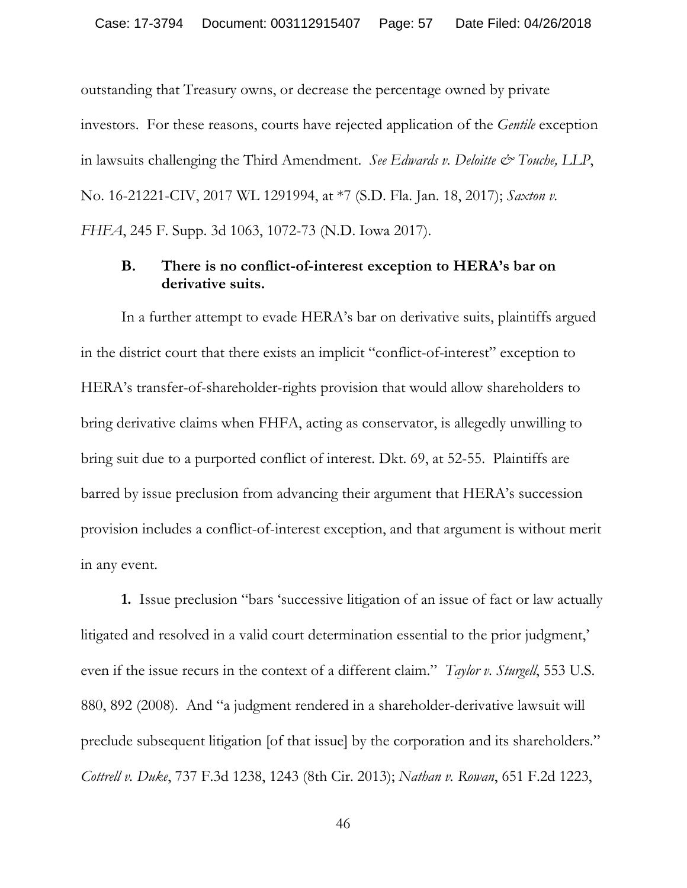outstanding that Treasury owns, or decrease the percentage owned by private investors. For these reasons, courts have rejected application of the *Gentile* exception in lawsuits challenging the Third Amendment. *See Edwards v. Deloitte & Touche*, LLP, No. 16-21221-CIV, 2017 WL 1291994, at \*7 (S.D. Fla. Jan. 18, 2017); *Saxton v. FHFA*, 245 F. Supp. 3d 1063, 1072-73 (N.D. Iowa 2017).

### **B. There is no conflict-of-interest exception to HERA's bar on derivative suits.**

In a further attempt to evade HERA's bar on derivative suits, plaintiffs argued in the district court that there exists an implicit "conflict-of-interest" exception to HERA's transfer-of-shareholder-rights provision that would allow shareholders to bring derivative claims when FHFA, acting as conservator, is allegedly unwilling to bring suit due to a purported conflict of interest. Dkt. 69, at 52-55. Plaintiffs are barred by issue preclusion from advancing their argument that HERA's succession provision includes a conflict-of-interest exception, and that argument is without merit in any event.

**1.** Issue preclusion "bars 'successive litigation of an issue of fact or law actually litigated and resolved in a valid court determination essential to the prior judgment,' even if the issue recurs in the context of a different claim." *Taylor v. Sturgell*, 553 U.S. 880, 892 (2008). And "a judgment rendered in a shareholder-derivative lawsuit will preclude subsequent litigation [of that issue] by the corporation and its shareholders." *Cottrell v. Duke*, 737 F.3d 1238, 1243 (8th Cir. 2013); *Nathan v. Rowan*, 651 F.2d 1223,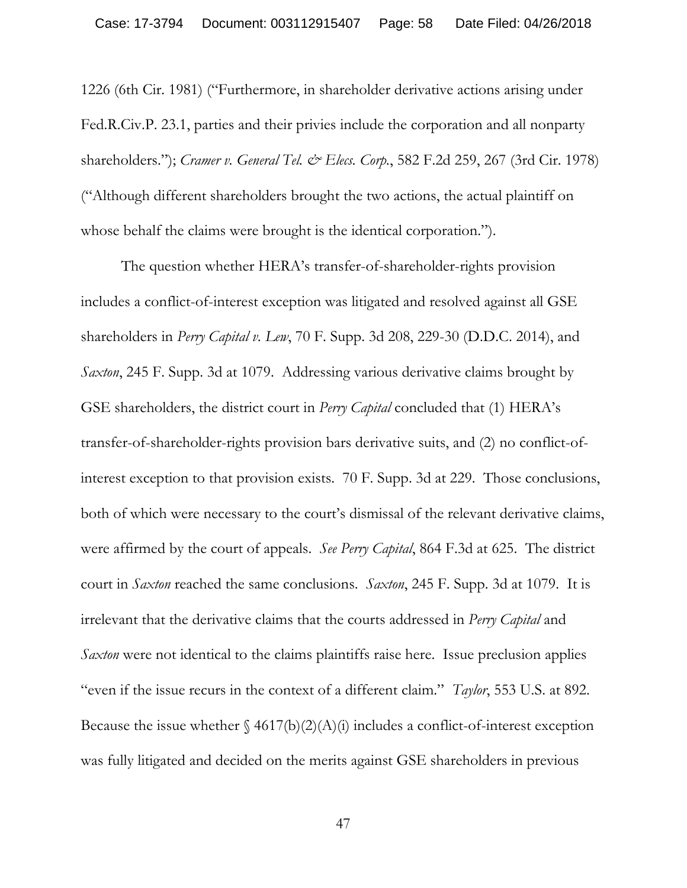1226 (6th Cir. 1981) ("Furthermore, in shareholder derivative actions arising under Fed.R.Civ.P. 23.1, parties and their privies include the corporation and all nonparty shareholders."); *Cramer v. General Tel. & Elecs. Corp.*, 582 F.2d 259, 267 (3rd Cir. 1978) ("Although different shareholders brought the two actions, the actual plaintiff on whose behalf the claims were brought is the identical corporation.").

The question whether HERA's transfer-of-shareholder-rights provision includes a conflict-of-interest exception was litigated and resolved against all GSE shareholders in *Perry Capital v. Lew*, 70 F. Supp. 3d 208, 229-30 (D.D.C. 2014), and *Saxton*, 245 F. Supp. 3d at 1079. Addressing various derivative claims brought by GSE shareholders, the district court in *Perry Capital* concluded that (1) HERA's transfer-of-shareholder-rights provision bars derivative suits, and (2) no conflict-ofinterest exception to that provision exists. 70 F. Supp. 3d at 229. Those conclusions, both of which were necessary to the court's dismissal of the relevant derivative claims, were affirmed by the court of appeals. *See Perry Capital*, 864 F.3d at 625. The district court in *Saxton* reached the same conclusions. *Saxton*, 245 F. Supp. 3d at 1079. It is irrelevant that the derivative claims that the courts addressed in *Perry Capital* and *Saxton* were not identical to the claims plaintiffs raise here. Issue preclusion applies "even if the issue recurs in the context of a different claim." *Taylor*, 553 U.S. at 892. Because the issue whether  $\frac{4617(b)(2)(A)(i)}{i}$  includes a conflict-of-interest exception was fully litigated and decided on the merits against GSE shareholders in previous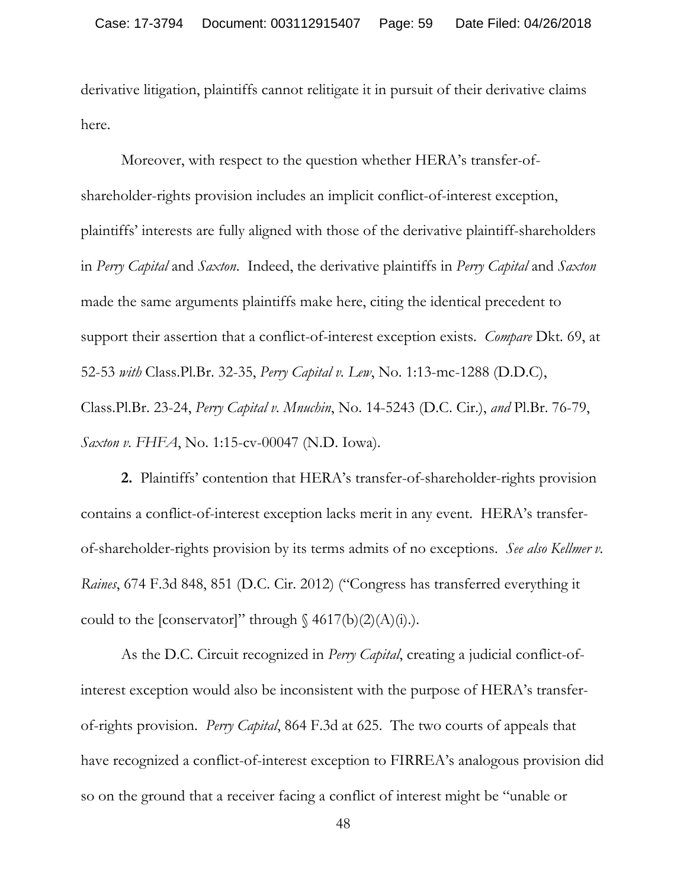derivative litigation, plaintiffs cannot relitigate it in pursuit of their derivative claims here.

Moreover, with respect to the question whether HERA's transfer-ofshareholder-rights provision includes an implicit conflict-of-interest exception, plaintiffs' interests are fully aligned with those of the derivative plaintiff-shareholders in *Perry Capital* and *Saxton*. Indeed, the derivative plaintiffs in *Perry Capital* and *Saxton*  made the same arguments plaintiffs make here, citing the identical precedent to support their assertion that a conflict-of-interest exception exists. *Compare* Dkt. 69, at 52-53 *with* Class.Pl.Br. 32-35, *Perry Capital v. Lew*, No. 1:13-mc-1288 (D.D.C), Class.Pl.Br. 23-24, *Perry Capital v. Mnuchin*, No. 14-5243 (D.C. Cir.), *and* Pl.Br. 76-79, *Saxton v. FHFA*, No. 1:15-cv-00047 (N.D. Iowa).

**2.** Plaintiffs' contention that HERA's transfer-of-shareholder-rights provision contains a conflict-of-interest exception lacks merit in any event. HERA's transferof-shareholder-rights provision by its terms admits of no exceptions. *See also Kellmer v. Raines*, 674 F.3d 848, 851 (D.C. Cir. 2012) ("Congress has transferred everything it could to the [conservator]" through  $\delta$  4617(b)(2)(A)(i).).

As the D.C. Circuit recognized in *Perry Capital*, creating a judicial conflict-ofinterest exception would also be inconsistent with the purpose of HERA's transferof-rights provision. *Perry Capital*, 864 F.3d at 625. The two courts of appeals that have recognized a conflict-of-interest exception to FIRREA's analogous provision did so on the ground that a receiver facing a conflict of interest might be "unable or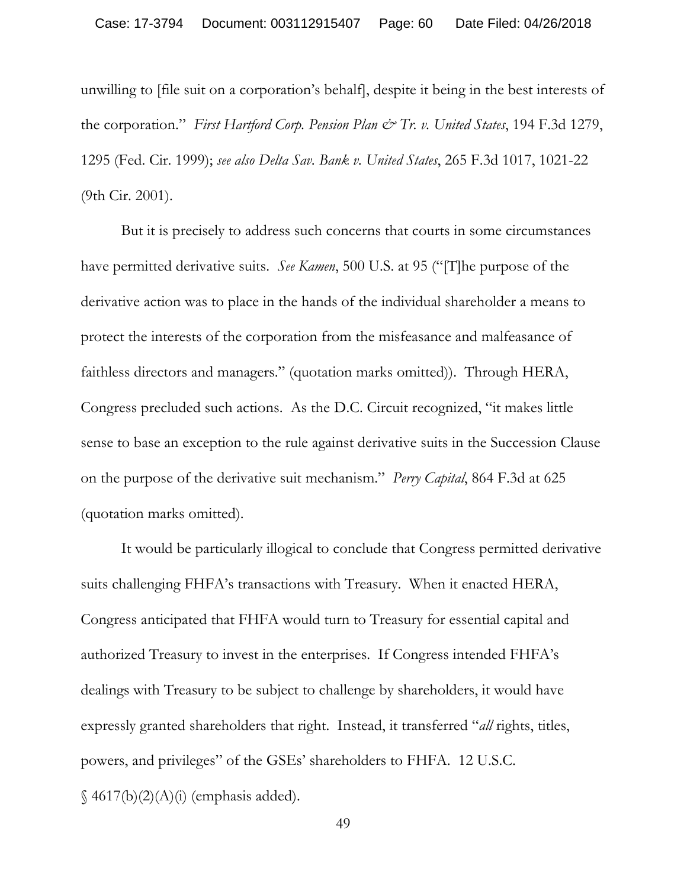unwilling to [file suit on a corporation's behalf], despite it being in the best interests of the corporation." *First Hartford Corp. Pension Plan & Tr. v. United States*, 194 F.3d 1279, 1295 (Fed. Cir. 1999); *see also Delta Sav. Bank v. United States*, 265 F.3d 1017, 1021-22 (9th Cir. 2001).

But it is precisely to address such concerns that courts in some circumstances have permitted derivative suits. *See Kamen*, 500 U.S. at 95 ("[T]he purpose of the derivative action was to place in the hands of the individual shareholder a means to protect the interests of the corporation from the misfeasance and malfeasance of faithless directors and managers." (quotation marks omitted)). Through HERA, Congress precluded such actions. As the D.C. Circuit recognized, "it makes little sense to base an exception to the rule against derivative suits in the Succession Clause on the purpose of the derivative suit mechanism." *Perry Capital*, 864 F.3d at 625 (quotation marks omitted).

It would be particularly illogical to conclude that Congress permitted derivative suits challenging FHFA's transactions with Treasury. When it enacted HERA, Congress anticipated that FHFA would turn to Treasury for essential capital and authorized Treasury to invest in the enterprises. If Congress intended FHFA's dealings with Treasury to be subject to challenge by shareholders, it would have expressly granted shareholders that right. Instead, it transferred "*all* rights, titles, powers, and privileges" of the GSEs' shareholders to FHFA. 12 U.S.C.  $\S$  4617(b)(2)(A)(i) (emphasis added).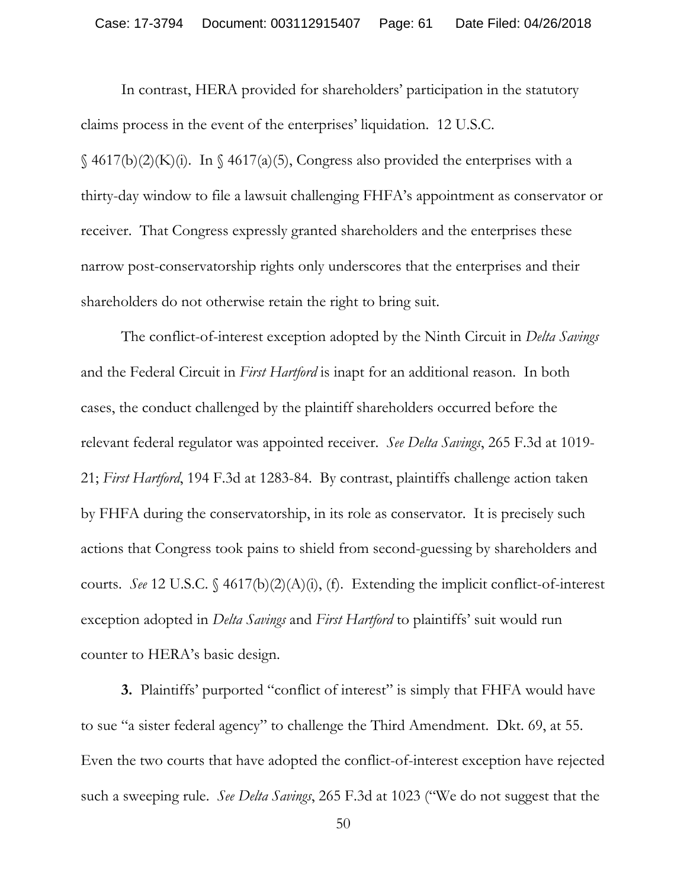In contrast, HERA provided for shareholders' participation in the statutory claims process in the event of the enterprises' liquidation. 12 U.S.C.  $\S$  4617(b)(2)(K)(i). In  $\S$  4617(a)(5), Congress also provided the enterprises with a thirty-day window to file a lawsuit challenging FHFA's appointment as conservator or receiver. That Congress expressly granted shareholders and the enterprises these narrow post-conservatorship rights only underscores that the enterprises and their shareholders do not otherwise retain the right to bring suit.

The conflict-of-interest exception adopted by the Ninth Circuit in *Delta Savings*  and the Federal Circuit in *First Hartford* is inapt for an additional reason. In both cases, the conduct challenged by the plaintiff shareholders occurred before the relevant federal regulator was appointed receiver. *See Delta Savings*, 265 F.3d at 1019- 21; *First Hartford*, 194 F.3d at 1283-84. By contrast, plaintiffs challenge action taken by FHFA during the conservatorship, in its role as conservator. It is precisely such actions that Congress took pains to shield from second-guessing by shareholders and courts. *See* 12 U.S.C. § 4617(b)(2)(A)(i), (f). Extending the implicit conflict-of-interest exception adopted in *Delta Savings* and *First Hartford* to plaintiffs' suit would run counter to HERA's basic design.

**3.** Plaintiffs' purported "conflict of interest" is simply that FHFA would have to sue "a sister federal agency" to challenge the Third Amendment. Dkt. 69, at 55. Even the two courts that have adopted the conflict-of-interest exception have rejected such a sweeping rule. *See Delta Savings*, 265 F.3d at 1023 ("We do not suggest that the

<sup>50</sup>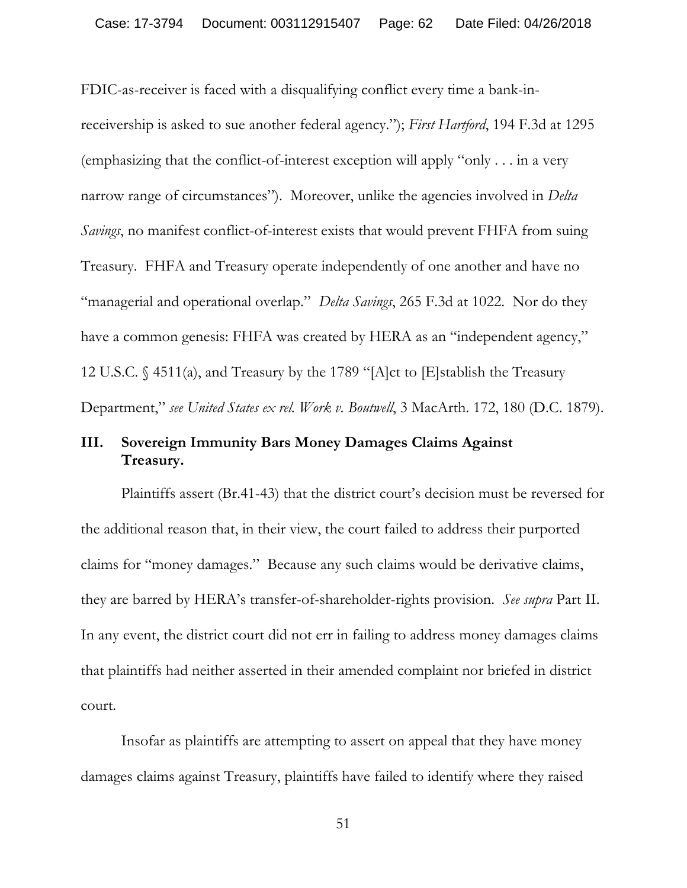FDIC-as-receiver is faced with a disqualifying conflict every time a bank-inreceivership is asked to sue another federal agency."); *First Hartford*, 194 F.3d at 1295 (emphasizing that the conflict-of-interest exception will apply "only . . . in a very narrow range of circumstances"). Moreover, unlike the agencies involved in *Delta Savings*, no manifest conflict-of-interest exists that would prevent FHFA from suing Treasury. FHFA and Treasury operate independently of one another and have no "managerial and operational overlap." *Delta Savings*, 265 F.3d at 1022. Nor do they have a common genesis: FHFA was created by HERA as an "independent agency," 12 U.S.C. § 4511(a), and Treasury by the 1789 "[A]ct to [E]stablish the Treasury Department," *see United States ex rel. Work v. Boutwell*, 3 MacArth. 172, 180 (D.C. 1879).

## **III. Sovereign Immunity Bars Money Damages Claims Against Treasury.**

Plaintiffs assert (Br.41-43) that the district court's decision must be reversed for the additional reason that, in their view, the court failed to address their purported claims for "money damages." Because any such claims would be derivative claims, they are barred by HERA's transfer-of-shareholder-rights provision. *See supra* Part II. In any event, the district court did not err in failing to address money damages claims that plaintiffs had neither asserted in their amended complaint nor briefed in district court.

Insofar as plaintiffs are attempting to assert on appeal that they have money damages claims against Treasury, plaintiffs have failed to identify where they raised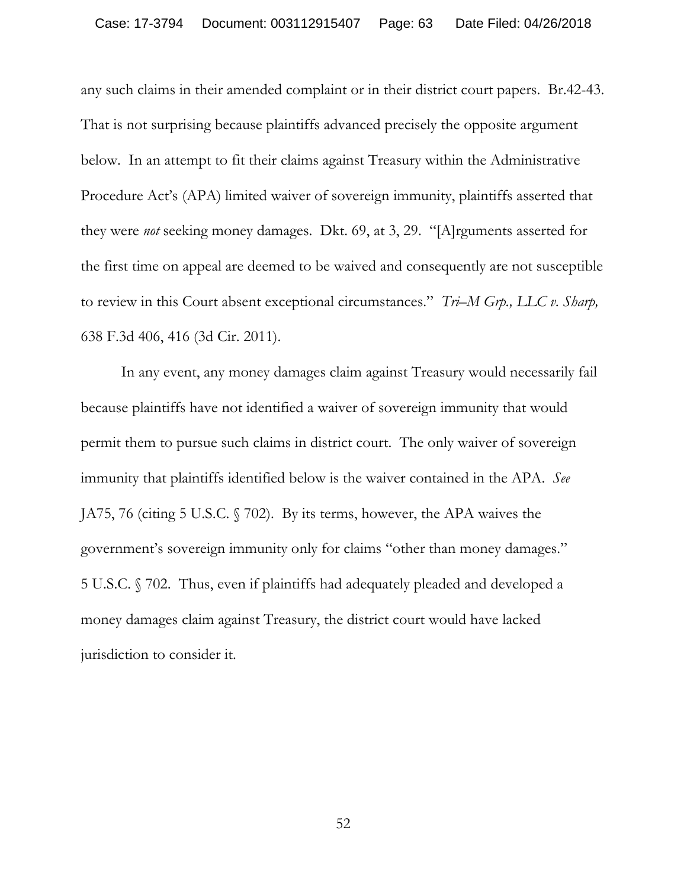any such claims in their amended complaint or in their district court papers. Br.42-43. That is not surprising because plaintiffs advanced precisely the opposite argument below. In an attempt to fit their claims against Treasury within the Administrative Procedure Act's (APA) limited waiver of sovereign immunity, plaintiffs asserted that they were *not* seeking money damages. Dkt. 69, at 3, 29. "[A]rguments asserted for the first time on appeal are deemed to be waived and consequently are not susceptible to review in this Court absent exceptional circumstances." *Tri–M Grp., LLC v. Sharp,* 638 F.3d 406, 416 (3d Cir. 2011).

In any event, any money damages claim against Treasury would necessarily fail because plaintiffs have not identified a waiver of sovereign immunity that would permit them to pursue such claims in district court. The only waiver of sovereign immunity that plaintiffs identified below is the waiver contained in the APA. *See*  JA75, 76 (citing 5 U.S.C. § 702). By its terms, however, the APA waives the government's sovereign immunity only for claims "other than money damages." 5 U.S.C. § 702. Thus, even if plaintiffs had adequately pleaded and developed a money damages claim against Treasury, the district court would have lacked jurisdiction to consider it.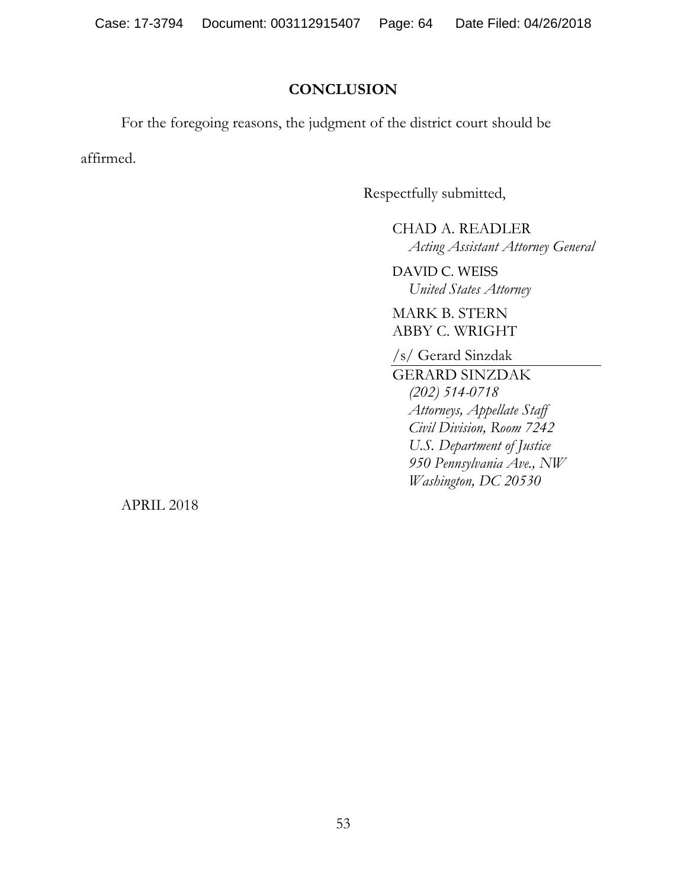# **CONCLUSION**

For the foregoing reasons, the judgment of the district court should be

affirmed.

Respectfully submitted,

CHAD A. READLER *Acting Assistant Attorney General* 

DAVID C. WEISS *United States Attorney* 

MARK B. STERN ABBY C. WRIGHT

/s/ Gerard Sinzdak

GERARD SINZDAK *(202) 514-0718 Attorneys, Appellate Staff Civil Division, Room 7242 U.S. Department of Justice 950 Pennsylvania Ave., NW Washington, DC 20530* 

APRIL 2018